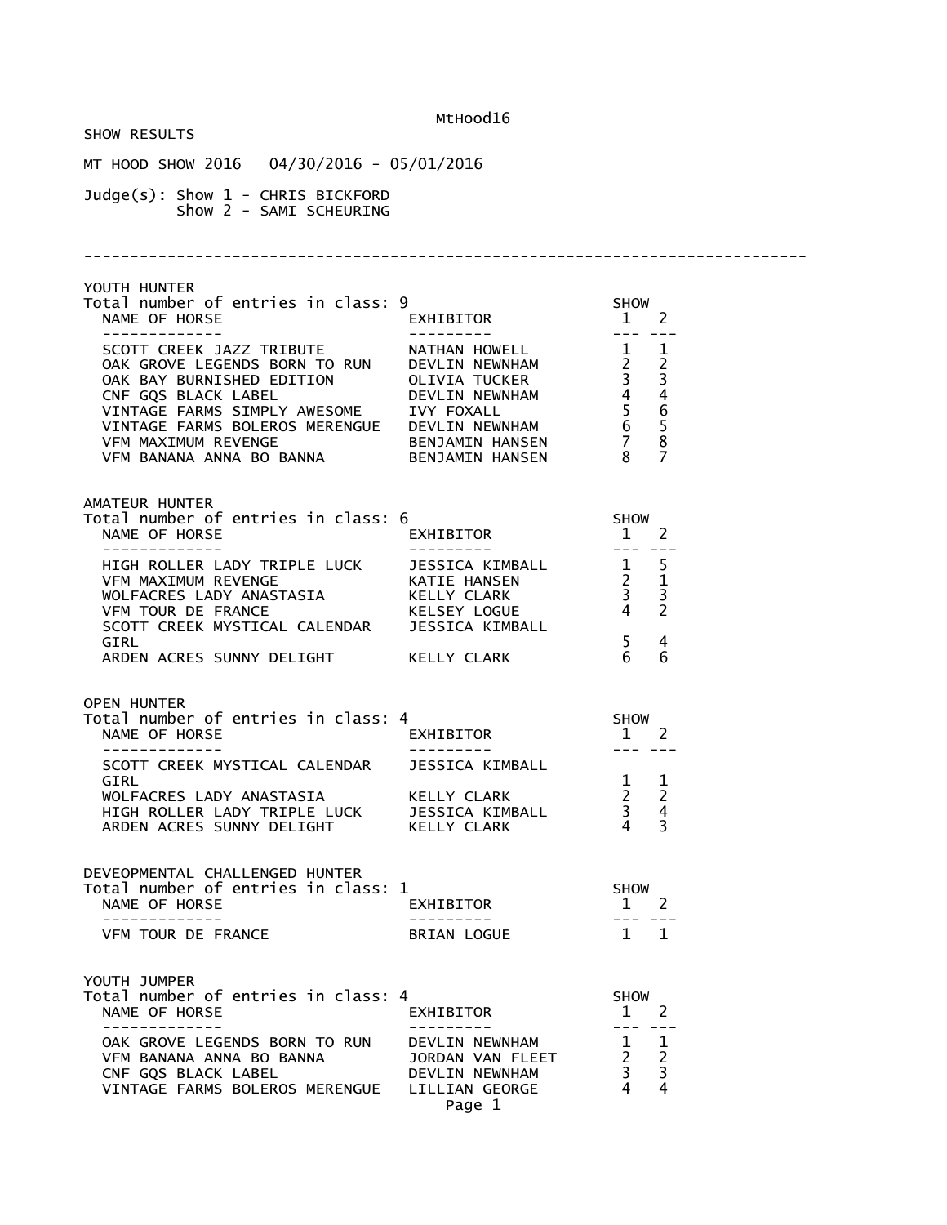SHOW RESULTS MT HOOD SHOW 2016 04/30/2016 - 05/01/2016 Judge(s): Show 1 - CHRIS BICKFORD Show 2 - SAMI SCHEURING ------------------------------------------------------------------------------ YOUTH HUNTER Total number of entries in class: 9 SHOW  $EXHIBITOR$  ------------- --------- --- --- SCOTT CREEK JAZZ TRIBUTE NATHAN HOWELL 1 1 OAK GROVE LEGENDS BORN TO RUN DEVLIN NEWNHAM 2 2 OAK BAY BURNISHED EDITION OLIVIA TUCKER 3 3 CNF GQS BLACK LABEL DEVLIN NEWNHAM 4 4 VINTAGE FARMS SIMPLY AWESOME IVY FOXALL 5 6 VINTAGE FARMS BOLEROS MERENGUE DEVLIN NEWNHAM 6 5 VFM MAXIMUM REVENGE BENJAMIN HANSEN 7 8 VFM BANANA ANNA BO BANNA BENJAMIN HANSEN 8 7 AMATEUR HUNTER Total number of entries in class: 6 SHOW<br>NAME OF HORSE EXHIBITOR 1 2 NAME OF HORSE ------------- --------- --- --- HIGH ROLLER LADY TRIPLE LUCK JESSICA KIMBALL 1 5 VFM MAXIMUM REVENGE KATIE HANSEN 2 1 WOLFACRES LADY ANASTASIA KELLY CLARK 3 3 VFM TOUR DE FRANCE KELSEY LOGUE 4 2 SCOTT CREEK MYSTICAL CALENDAR JESSICA KIMBALL GIRL  $\begin{array}{ccccccc} 5 & 4 & \pi \end{array}$ ARDEN ACRES SUNNY DELIGHT KELLY CLARK 6 6 OPEN HUNTER Total number of entries in class: 4 SHOW<br>NAME OF HORSE EXHIBITOR 1 NAME OF HORSE ------------- --------- --- --- SCOTT CREEK MYSTICAL CALENDAR<br>GIRL GIRL  $1 \quad 1$  WOLFACRES LADY ANASTASIA KELLY CLARK 2 2 HIGH ROLLER LADY TRIPLE LUCK JESSICA KIMBALL 3 4 ARDEN ACRES SUNNY DELIGHT KELLY CLARK 4 3 DEVEOPMENTAL CHALLENGED HUNTER Total number of entries in class: 1 SHOW SHOW CRAME OF HORSE TO EXHIBITOR TO A 2 NAME OF HORSE **EXHIBITOR** 2 ------------- --------- --- --- VFM TOUR DE FRANCE BRIAN LOGUE 1 1 YOUTH JUMPER Total number of entries in class: 4<br>
NAME OF HORSE EXHIBITOR 1 2 NAME OF HORSE EXHIBITOR 1 2 ------------- --------- --- --- OAK GROVE LEGENDS BORN TO RUN DEVLIN NEWNHAM 1 1 VFM BANANA ANNA BO BANNA JORDAN VAN FLEET 2 2 CNF GQS BLACK LABEL DEVLIN NEWNHAM 3 3 VINTAGE FARMS BOLEROS MERENGUE LILLIAN GEORGE Page 1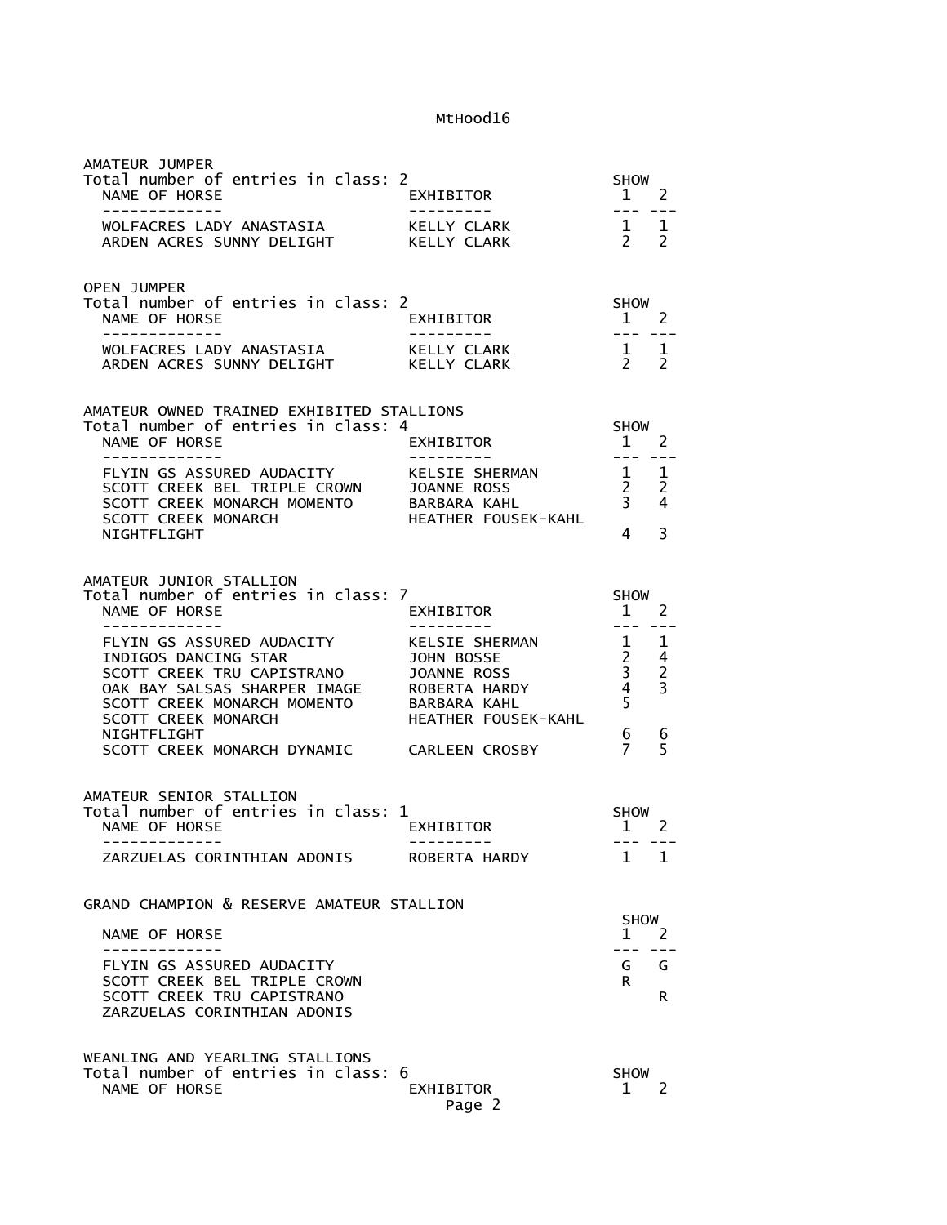| AMATEUR JUMPER<br>Total number of entries in class: 2<br>NAME OF HORSE<br>--------------                                                                                                                                                                                                                                                                                      | EXHIBITOR<br>$\frac{1}{1}$ 2<br>---------- | SHOW                                                                                                                                                                                                                                                                                                                                                                                                                |         |
|-------------------------------------------------------------------------------------------------------------------------------------------------------------------------------------------------------------------------------------------------------------------------------------------------------------------------------------------------------------------------------|--------------------------------------------|---------------------------------------------------------------------------------------------------------------------------------------------------------------------------------------------------------------------------------------------------------------------------------------------------------------------------------------------------------------------------------------------------------------------|---------|
|                                                                                                                                                                                                                                                                                                                                                                               |                                            |                                                                                                                                                                                                                                                                                                                                                                                                                     |         |
| <b>OPEN JUMPER</b><br>Total number of entries in class: 2<br>NAME OF HORSE<br>. _ _ _ _ _ _ _ _ _ _ _ _                                                                                                                                                                                                                                                                       | EXHIBITOR<br>----------                    | SHOW<br>$1 \quad 2$<br>$\frac{1}{2} \frac{1}{2} \frac{1}{2} \frac{1}{2} \frac{1}{2} \frac{1}{2} \frac{1}{2} \frac{1}{2} \frac{1}{2} \frac{1}{2} \frac{1}{2} \frac{1}{2} \frac{1}{2} \frac{1}{2} \frac{1}{2} \frac{1}{2} \frac{1}{2} \frac{1}{2} \frac{1}{2} \frac{1}{2} \frac{1}{2} \frac{1}{2} \frac{1}{2} \frac{1}{2} \frac{1}{2} \frac{1}{2} \frac{1}{2} \frac{1}{2} \frac{1}{2} \frac{1}{2} \frac{1}{2} \frac{$ |         |
|                                                                                                                                                                                                                                                                                                                                                                               |                                            |                                                                                                                                                                                                                                                                                                                                                                                                                     |         |
| AMATEUR OWNED TRAINED EXHIBITED STALLIONS<br>Total number of entries in class: 4<br>NAME OF HORSE                                                                                                                                                                                                                                                                             | EXHIBITOR                                  | <b>SHOW</b><br>$1 \quad 2$                                                                                                                                                                                                                                                                                                                                                                                          |         |
| -------------<br>FLYIN GS ASSURED AUDACITY<br>SCOTT CREEK BEL TRIPLE CROWN JOANNE ROSS 2 2<br>SCOTT CREEK MONARCH MOMENTO BARBARA KAHL 3 4<br>SCOTT CREEK MONARCH HEATHER FOUSEK-KAHL<br>NIGHTFLIGHT                                                                                                                                                                          | ---------                                  | $\frac{1}{2} \frac{1}{2} \frac{1}{2} \frac{1}{2} \frac{1}{2} \frac{1}{2} \frac{1}{2} \frac{1}{2} \frac{1}{2} \frac{1}{2} \frac{1}{2} \frac{1}{2} \frac{1}{2} \frac{1}{2} \frac{1}{2} \frac{1}{2} \frac{1}{2} \frac{1}{2} \frac{1}{2} \frac{1}{2} \frac{1}{2} \frac{1}{2} \frac{1}{2} \frac{1}{2} \frac{1}{2} \frac{1}{2} \frac{1}{2} \frac{1}{2} \frac{1}{2} \frac{1}{2} \frac{1}{2} \frac{$<br>$\overline{4}$      | 3       |
| AMATEUR JUNIOR STALLION<br>Total number of entries in class: 7<br>NAME OF HORSE<br>-------------                                                                                                                                                                                                                                                                              | EXHIBITOR<br>--------                      | SHOW<br>$\frac{1}{1}$ $\frac{2}{1}$                                                                                                                                                                                                                                                                                                                                                                                 |         |
| FLYIN GS ASSURED AUDACITY<br>FLYIN GS ASSURED AUDACITY<br>INDIGOS DANCING STAR<br>SCOTT CREEK TRU CAPISTRANO<br>OAK BAY SALSAS SHARPER IMAGE<br>SCOTT CREEK MONARCH MOMENTO<br>SCOTT CREEK MONARCH MOMENTO<br>SCOTT CREEK MONARCH MOMENTO<br>B<br>OOK BAY SALSAS SHARPER IMAGE<br>SCOTT CREEK MONARCH MOMENTO BARBARA KAHL<br>SCOTT CREEK MONARCH MOMENTO HEATHER FOUSEK-KAHL |                                            |                                                                                                                                                                                                                                                                                                                                                                                                                     |         |
| NIGHTFLIGHT<br>SCOTT CREEK MONARCH DYNAMIC CARLEEN CROSBY                                                                                                                                                                                                                                                                                                                     |                                            | 6<br>$\overline{7}$                                                                                                                                                                                                                                                                                                                                                                                                 | 6<br>5  |
| AMATEUR SENIOR STALLION<br>Total number of entries in class: 1<br>NAME OF HORSE<br>-------------                                                                                                                                                                                                                                                                              | EXHIBITOR                                  | SHOW<br>$1 \quad 2$<br>--- ---                                                                                                                                                                                                                                                                                                                                                                                      |         |
| ZARZUELAS CORINTHIAN ADONIS                                                                                                                                                                                                                                                                                                                                                   | ROBERTA HARDY                              | 1                                                                                                                                                                                                                                                                                                                                                                                                                   | 1       |
| GRAND CHAMPION & RESERVE AMATEUR STALLION                                                                                                                                                                                                                                                                                                                                     |                                            |                                                                                                                                                                                                                                                                                                                                                                                                                     |         |
| NAME OF HORSE                                                                                                                                                                                                                                                                                                                                                                 |                                            | SHOW<br>$\mathbf 1$                                                                                                                                                                                                                                                                                                                                                                                                 | 2       |
| FLYIN GS ASSURED AUDACITY<br>SCOTT CREEK BEL TRIPLE CROWN<br>SCOTT CREEK TRU CAPISTRANO<br>ZARZUELAS CORINTHIAN ADONIS                                                                                                                                                                                                                                                        |                                            | G<br>R.                                                                                                                                                                                                                                                                                                                                                                                                             | G<br>R. |
| WEANLING AND YEARLING STALLIONS<br>Total number of entries in class: 6<br>NAME OF HORSE                                                                                                                                                                                                                                                                                       | EXHIBITOR<br>Page 2                        | <b>SHOW</b><br>1                                                                                                                                                                                                                                                                                                                                                                                                    | 2       |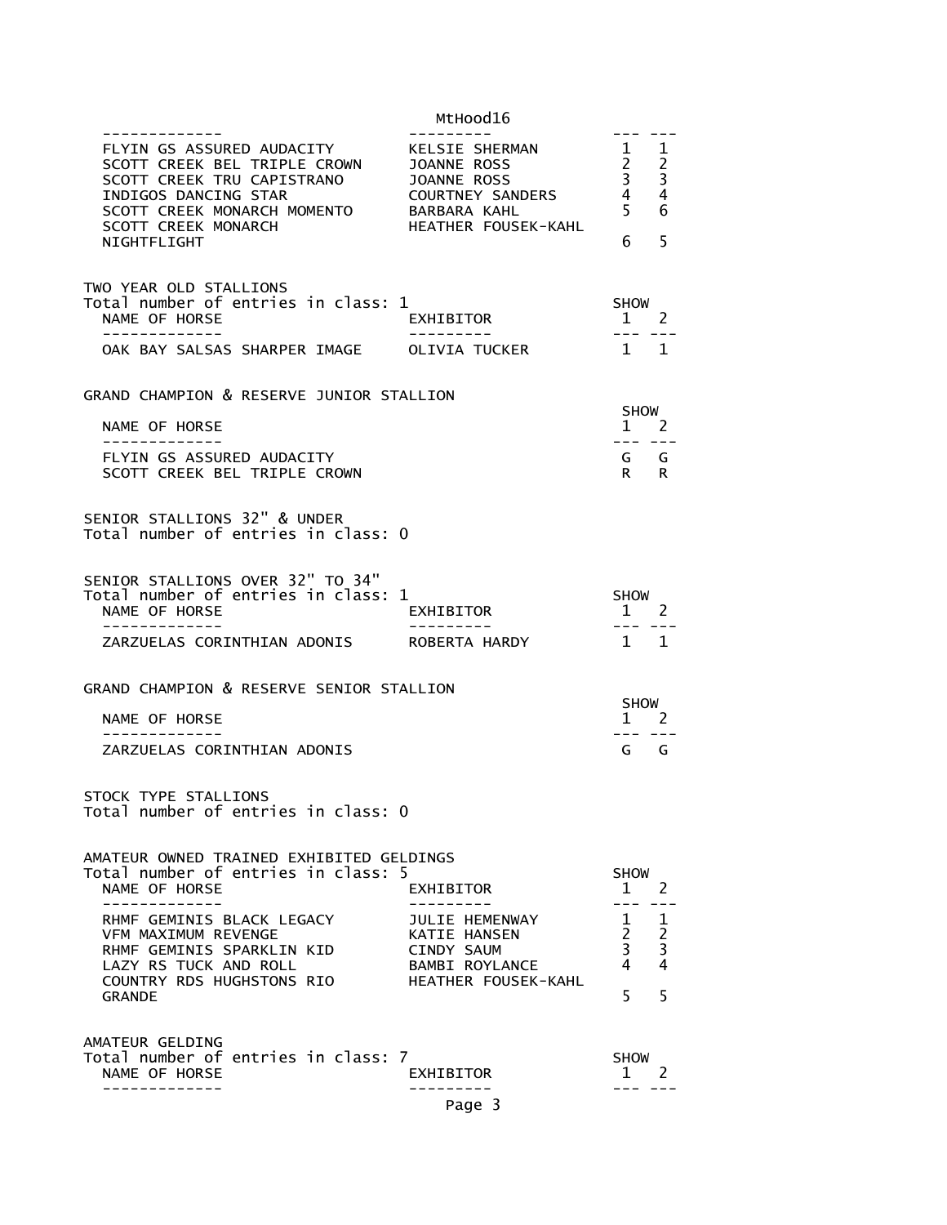|                                                                                                                                                                                                  | MtHood16                                                                                            |                                                          |                                                                      |
|--------------------------------------------------------------------------------------------------------------------------------------------------------------------------------------------------|-----------------------------------------------------------------------------------------------------|----------------------------------------------------------|----------------------------------------------------------------------|
| FLYIN GS ASSURED AUDACITY<br>SCOTT CREEK BEL TRIPLE CROWN JOANNE ROSS<br>SCOTT CREEK TRU CAPISTRANO<br>INDIGOS DANCING STAR<br>SCOTT CREEK MONARCH MOMENTO<br>SCOTT CREEK MONARCH<br>NIGHTFLIGHT | KELSIE SHERMAN<br>JOANNE ROSS<br>COURTNEY SANDERS<br>BARBARA KAHL<br>HEATHER FOUSEK-KAHL            | 1<br>$\frac{2}{3}$<br>4<br>$\dot{5}$<br>6                | $\mathbf{1}$<br>$\begin{array}{c} 2 \\ 3 \\ 4 \end{array}$<br>6<br>5 |
|                                                                                                                                                                                                  |                                                                                                     |                                                          |                                                                      |
| TWO YEAR OLD STALLIONS<br>Total number of entries in class: 1<br>NAME OF HORSE                                                                                                                   | EXHIBITOR                                                                                           | SHOW<br>$1 \quad 2$                                      |                                                                      |
| OAK BAY SALSAS SHARPER IMAGE OLIVIA TUCKER                                                                                                                                                       |                                                                                                     | $1 \quad 1$                                              |                                                                      |
| GRAND CHAMPION & RESERVE JUNIOR STALLION                                                                                                                                                         |                                                                                                     |                                                          |                                                                      |
| NAME OF HORSE                                                                                                                                                                                    |                                                                                                     | SHOW<br>$1 \quad 2$                                      |                                                                      |
| -------------<br>FLYIN GS ASSURED AUDACITY<br>SCOTT CREEK BEL TRIPLE CROWN                                                                                                                       |                                                                                                     | --- ---<br>G G<br>$R \sim$                               | R                                                                    |
| SENIOR STALLIONS 32" & UNDER<br>Total number of entries in class: 0                                                                                                                              |                                                                                                     |                                                          |                                                                      |
| SENIOR STALLIONS OVER 32" TO 34"<br>Total number of entries in class: 1<br>NAME OF HORSE<br>. _ _ _ _ _ _ _ _ _ _ _ _                                                                            | EXHIBITOR                                                                                           | SHOW<br>$1 \quad 2$                                      |                                                                      |
| ZARZUELAS CORINTHIAN ADONIS ROBERTA HARDY                                                                                                                                                        |                                                                                                     | $1 \quad 1$                                              |                                                                      |
| GRAND CHAMPION & RESERVE SENIOR STALLION                                                                                                                                                         |                                                                                                     |                                                          |                                                                      |
| NAME OF HORSE                                                                                                                                                                                    |                                                                                                     | SHOW<br>$1 \quad 2$                                      |                                                                      |
| -------------<br>ZARZUELAS CORINTHIAN ADONIS                                                                                                                                                     |                                                                                                     | $G$ $G$                                                  |                                                                      |
| STOCK TYPE STALLIONS<br>Total number of entries in class: 0                                                                                                                                      |                                                                                                     |                                                          |                                                                      |
| AMATEUR OWNED TRAINED EXHIBITED GELDINGS<br>Total number of entries in class: 5<br>NAME OF HORSE                                                                                                 | EXHIBITOR                                                                                           | <b>SHOW</b><br>1                                         | 2                                                                    |
| RHMF GEMINIS BLACK LEGACY<br>VFM MAXIMUM REVENGE<br>RHMF GEMINIS SPARKLIN KID<br>LAZY RS TUCK AND ROLL<br>COUNTRY RDS HUGHSTONS RIO<br><b>GRANDE</b>                                             | JULIE HEMENWAY<br><b>KATIE HANSEN</b><br>CINDY SAUM<br><b>BAMBI ROYLANCE</b><br>HEATHER FOUSEK-KAHL | $\mathbf{1}$<br>$\overline{2}$<br>$\mathbf{3}$<br>4<br>5 | 1<br>2<br>3<br>4<br>5                                                |
| AMATEUR GELDING<br>Total number of entries in class: 7<br>NAME OF HORSE                                                                                                                          | EXHIBITOR<br>Page 3                                                                                 | <b>SHOW</b><br>1                                         | 2                                                                    |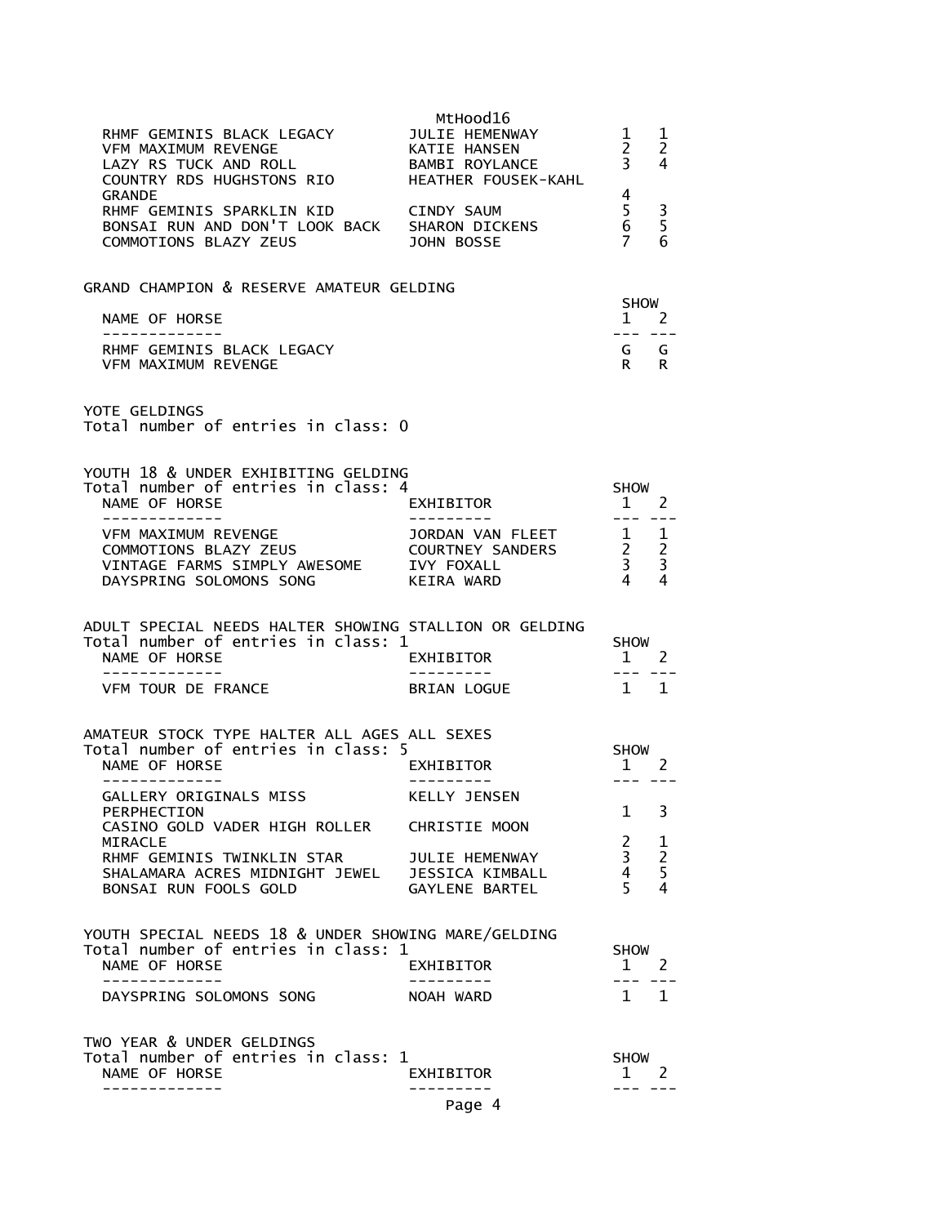| RHMF GEMINIS BLACK LEGACY<br><b>VFM MAXIMUM REVENGE</b><br>VERT MAAIMUM REVENGE<br>LAZY RS TUCK AND ROLL<br>COUNTRY RDS HUGHSTONS RIO         | MtHood16<br>JULIE HEMENWAY<br>KATIE HANSEN<br>BAMBI ROYLANCE<br>HEATHER FOUSEK-KAHL | 1<br>$2^{\circ}$<br>$\frac{2}{3}$                        | 1<br>2<br>4             |
|-----------------------------------------------------------------------------------------------------------------------------------------------|-------------------------------------------------------------------------------------|----------------------------------------------------------|-------------------------|
| <b>GRANDE</b><br>RHMF GEMINIS SPARKLIN KID<br>BONSAI RUN AND DON'T LOOK BACK SHARON DICKENS<br>COMMOTIONS BLAZY ZEUS                          | <b>CINDY SAUM</b><br>JOHN BOSSE                                                     | 4<br>5<br>$\overline{6}$<br>7                            | 3<br>5<br>6             |
| GRAND CHAMPION & RESERVE AMATEUR GELDING                                                                                                      |                                                                                     |                                                          |                         |
| NAME OF HORSE                                                                                                                                 |                                                                                     | <b>SHOW</b><br>$1 \quad 2$                               |                         |
| -------------<br>RHMF GEMINIS BLACK LEGACY<br>VFM MAXIMUM REVENGE                                                                             |                                                                                     | G G<br>R R                                               |                         |
| YOTE GELDINGS<br>Total number of entries in class: 0                                                                                          |                                                                                     |                                                          |                         |
| YOUTH 18 & UNDER EXHIBITING GELDING                                                                                                           |                                                                                     |                                                          |                         |
| Total number of entries in class: 4<br>NAME OF HORSE                                                                                          | EXHIBITOR                                                                           | <b>SHOW</b><br>1 2                                       |                         |
| -------------<br>VFM MAXIMUM REVENGE                                                                                                          |                                                                                     | $\begin{array}{cccccc} - & - & - & - & - \end{array}$    |                         |
| COMMOTIONS BLAZY ZEUS                                                                                                                         | JORDAN VAN FLEET<br>COURTNEY SANDERS<br>IVY FOXALL                                  | $\begin{array}{ccc} 1 & 1 \\ 2 & 2 \\ 3 & 3 \end{array}$ |                         |
| VINTAGE FARMS SIMPLY AWESOME<br>DAYSPRING SOLOMONS SONG                                                                                       | KEIRA WARD                                                                          | $\overline{4}$                                           | 4                       |
| ADULT SPECIAL NEEDS HALTER SHOWING STALLION OR GELDING<br>Total number of entries in class: 1<br>NAME OF HORSE                                | EXHIBITOR                                                                           | SHOW<br>1 2                                              |                         |
| -------------<br>VFM TOUR DE FRANCE                                                                                                           | ----------<br>BRIAN LOGUE                                                           | $\qquad \qquad - -$<br>$1 \quad 1$                       |                         |
|                                                                                                                                               |                                                                                     |                                                          |                         |
| AMATEUR STOCK TYPE HALTER ALL AGES ALL SEXES<br>Total number of entries in class: 5                                                           |                                                                                     | SHOW                                                     |                         |
| NAME OF HORSE                                                                                                                                 | EXHIBITOR                                                                           | $1 \quad 2$                                              |                         |
| GALLERY ORIGINALS MISS                                                                                                                        | KELLY JENSEN                                                                        | $- - -$                                                  |                         |
| PERPHECTION<br>CASINO GOLD VADER HIGH ROLLER CHRISTIE MOON                                                                                    |                                                                                     | $\mathbf{1}$                                             | 3                       |
| <b>MIRACLE</b>                                                                                                                                |                                                                                     | $\mathbf{2}$<br>$\overline{3}$                           | $\frac{1}{2}$           |
| RHMF GEMINIS TWINKLIN STAR JULIE HEMENWAY<br>SHALAMARA ACRES MIDNIGHT JEWEL JESSICA KIMBALL<br>ROUGAI RUN FOOLS COLD<br>BONSAI RUN FOOLS GOLD | GAYLENE BARTEL                                                                      | $\overline{4}$<br>$\overline{5}$                         | $\overline{\mathbf{4}}$ |
|                                                                                                                                               |                                                                                     |                                                          |                         |
| YOUTH SPECIAL NEEDS 18 & UNDER SHOWING MARE/GELDING<br>Total number of entries in class: 1                                                    |                                                                                     | <b>SHOW</b>                                              |                         |
| NAME OF HORSE<br>--------------                                                                                                               | EXHIBITOR<br>- - - - - - - - -                                                      | $1 \quad 2$<br>$- - - -$                                 |                         |
| DAYSPRING SOLOMONS SONG                                                                                                                       | NOAH WARD                                                                           | $1 \quad 1$                                              |                         |
| TWO YEAR & UNDER GELDINGS                                                                                                                     |                                                                                     |                                                          |                         |
| Total number of entries in class: 1<br>NAME OF HORSE                                                                                          | EXHIBITOR                                                                           | <b>SHOW</b><br>$1 \quad 2$                               |                         |
|                                                                                                                                               | Page 4                                                                              |                                                          |                         |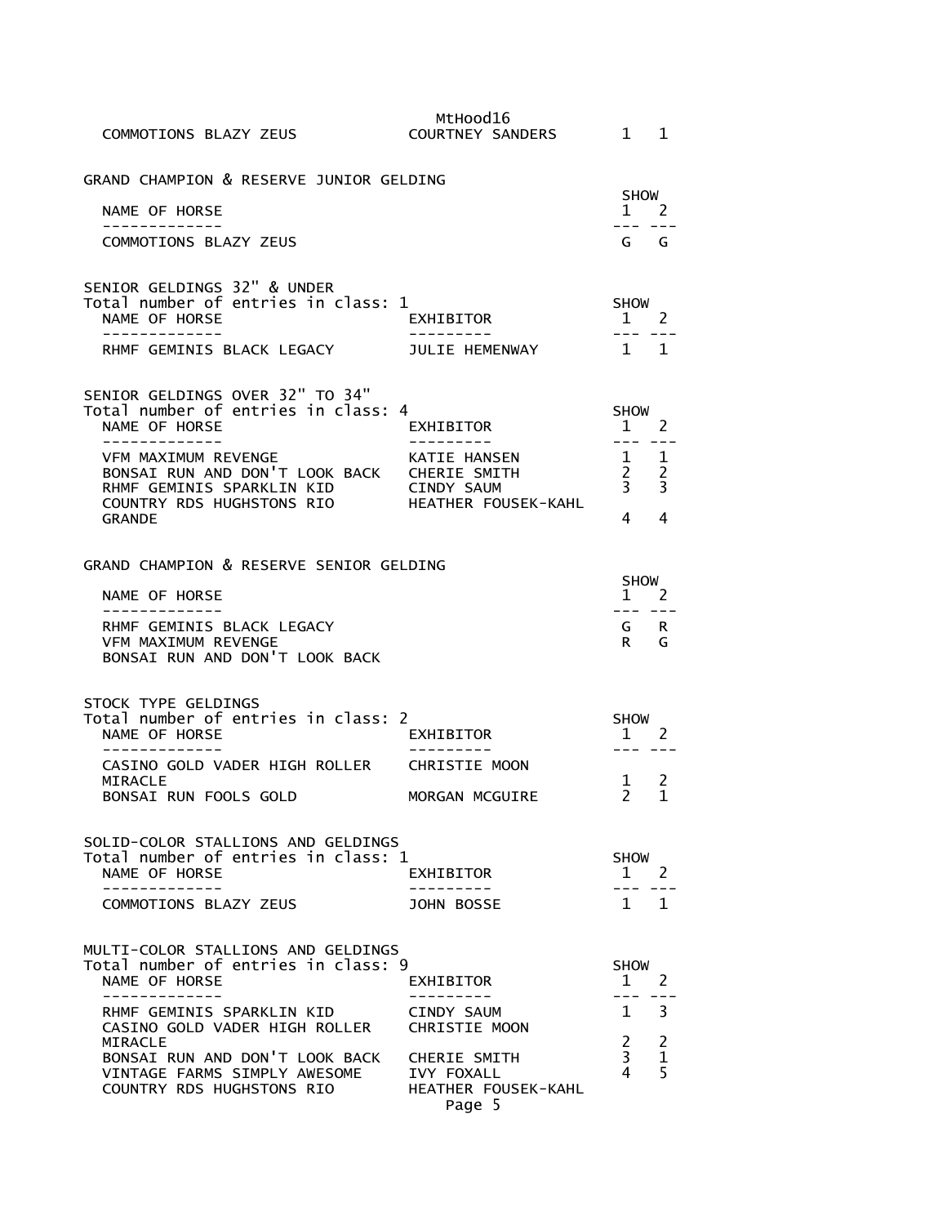| COMMOTIONS BLAZY ZEUS                                                                                                                                                                      | MtHood16<br>COURTNEY SANDERS 1              |                                                                                                             | $\mathbf{1}$        |
|--------------------------------------------------------------------------------------------------------------------------------------------------------------------------------------------|---------------------------------------------|-------------------------------------------------------------------------------------------------------------|---------------------|
| GRAND CHAMPION & RESERVE JUNIOR GELDING                                                                                                                                                    |                                             | SHOW                                                                                                        |                     |
| NAME OF HORSE<br>-------------                                                                                                                                                             |                                             | $1 \quad$                                                                                                   | 2                   |
| COMMOTIONS BLAZY ZEUS                                                                                                                                                                      |                                             | ---<br>G G                                                                                                  |                     |
| SENIOR GELDINGS 32" & UNDER<br>Total number of entries in class: 1<br>NAME OF HORSE<br>--------------                                                                                      | EXHIBITOR                                   | <b>SHOW</b><br>$1 \quad 2$<br>$- - -$                                                                       |                     |
| RHMF GEMINIS BLACK LEGACY JULIE HEMENWAY                                                                                                                                                   |                                             | $1 \quad 1$                                                                                                 |                     |
| SENIOR GELDINGS OVER 32" TO 34"<br>Total number of entries in class: 4<br>NAME OF HORSE<br>VFM MAXIMUM REVENGE<br>BONSAI RUN AND DON'T LOOK BACK CHERIE SMITH<br>RHMF GEMINIS SPARKLIN KID | EXHIBITOR<br>KATIE HANSEN<br>CINDY SAUM     | <b>SHOW</b><br>1 2<br>$\qquad \qquad - -$<br>$1 \quad 1$<br>$\begin{array}{ccc} 2 & 2 \\ 3 & 3 \end{array}$ |                     |
| COUNTRY RDS HUGHSTONS RIO HEATHER FOUSEK-KAHL<br><b>GRANDE</b>                                                                                                                             |                                             | $4 \quad$                                                                                                   | 4                   |
| GRAND CHAMPION & RESERVE SENIOR GELDING<br>NAME OF HORSE                                                                                                                                   |                                             | SHOW<br>$1 \quad 2$                                                                                         |                     |
| -------------<br>RHMF GEMINIS BLACK LEGACY<br><b>VFM MAXIMUM REVENGE</b><br>BONSAI RUN AND DON'T LOOK BACK                                                                                 |                                             | --- ---<br>G<br>R                                                                                           | R.<br>G             |
| STOCK TYPE GELDINGS<br>Total number of entries in class: 2<br>NAME OF HORSE                                                                                                                | EXHIBITOR                                   | SHOW<br>$1 \quad 2$                                                                                         |                     |
| CASINO GOLD VADER HIGH ROLLER CHRISTIE MOON                                                                                                                                                |                                             |                                                                                                             |                     |
| <b>MIRACLE</b><br>BONSAI RUN FOOLS GOLD                                                                                                                                                    | MORGAN MCGUIRE                              | 1<br>2                                                                                                      | 2<br>1              |
| SOLID-COLOR STALLIONS AND GELDINGS<br>Total number of entries in class: 1<br>NAME OF HORSE<br>-----------                                                                                  | EXHIBITOR                                   | <b>SHOW</b><br>$1 \quad 2$                                                                                  |                     |
| COMMOTIONS BLAZY ZEUS                                                                                                                                                                      | JOHN BOSSE                                  | $1 \quad 1$                                                                                                 |                     |
| MULTI-COLOR STALLIONS AND GELDINGS<br>Total number of entries in class: 9<br>NAME OF HORSE<br>------------                                                                                 | EXHIBITOR<br>. <u>.</u> .                   | <b>SHOW</b><br>$\mathbf{1}$<br>---                                                                          | $\overline{2}$      |
| RHMF GEMINIS SPARKLIN KID<br>CASINO GOLD VADER HIGH ROLLER CHRISTIE MOON<br>MIRACLE                                                                                                        | CINDY SAUM                                  | $1 \quad$<br>$\overline{2}$                                                                                 | 3<br>$\overline{2}$ |
| BONSAI RUN AND DON'T LOOK BACK CHERIE SMITH<br>VINTAGE FARMS SIMPLY AWESOME<br>COUNTRY RDS HUGHSTONS RIO                                                                                   | IVY FOXALL<br>HEATHER FOUSEK-KAHL<br>Page 5 | 3 <sup>7</sup><br>4                                                                                         | $\mathbf{1}$<br>5   |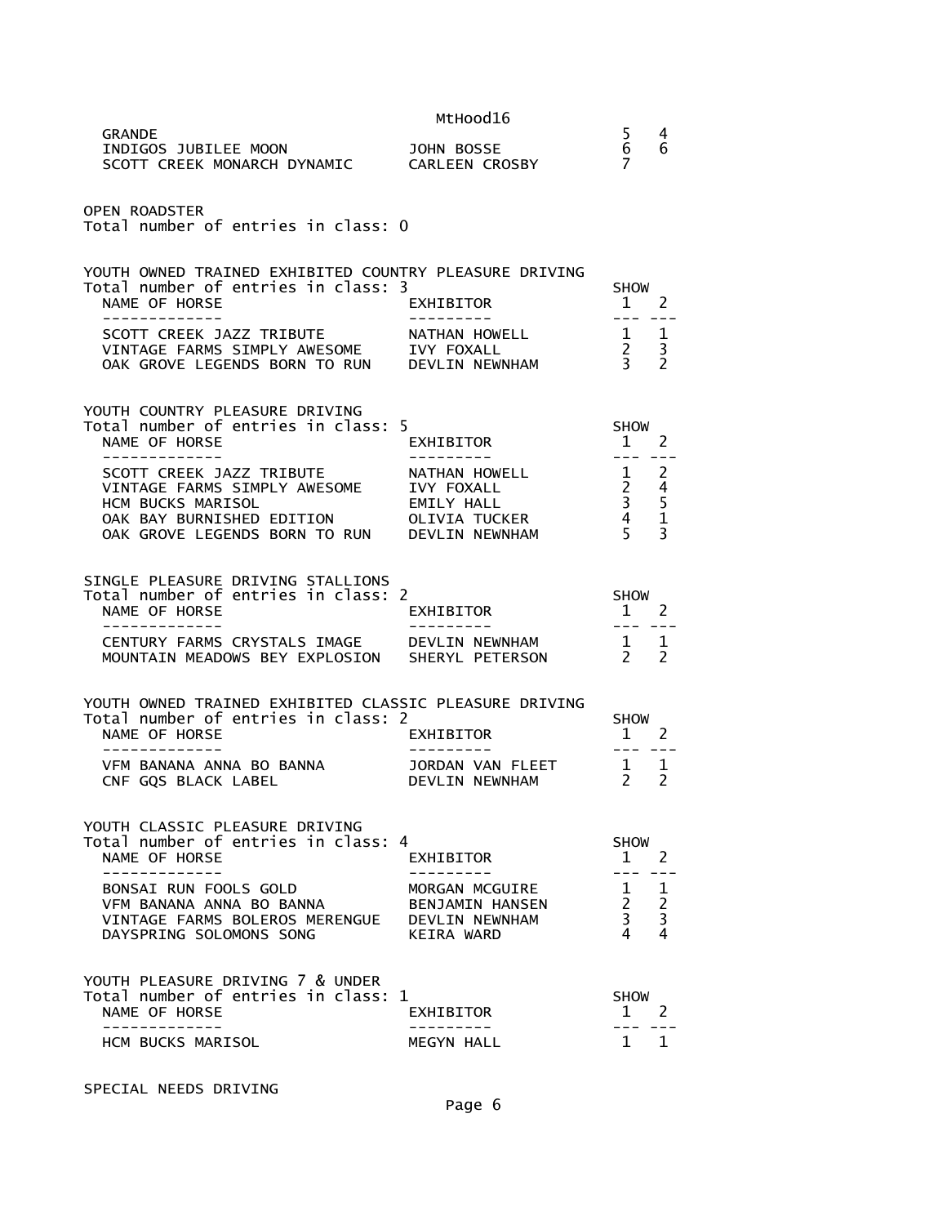| INDIGOS JUBILEE MOON               JOHN BOSSE<br>SCOTT CREEK MONARCH DYNAMIC       CARLEEN CROSBY                                                                               |                                                      | 5<br>6<br>$\overline{7}$                                                                                                                                                                                                                                                                                                                                                                                                             | 4<br>6                               |
|---------------------------------------------------------------------------------------------------------------------------------------------------------------------------------|------------------------------------------------------|--------------------------------------------------------------------------------------------------------------------------------------------------------------------------------------------------------------------------------------------------------------------------------------------------------------------------------------------------------------------------------------------------------------------------------------|--------------------------------------|
| <b>OPEN ROADSTER</b><br>Total number of entries in class: 0                                                                                                                     |                                                      |                                                                                                                                                                                                                                                                                                                                                                                                                                      |                                      |
| YOUTH OWNED TRAINED EXHIBITED COUNTRY PLEASURE DRIVING<br>Total number of entries in class: 3<br>NAME OF HORSE<br>-------------                                                 | EXHIBITOR                                            | <b>SHOW</b><br>$1 \quad 2$<br>--- ---                                                                                                                                                                                                                                                                                                                                                                                                |                                      |
| SCOTT CREEK JAZZ TRIBUTE ANATHAN HOWELL<br>VINTAGE FARMS SIMPLY AWESOME IVY FOXALL<br>OAK GROVE LEGENDS BORN TO RUN DEVLIN NEWNHAM                                              |                                                      | $\begin{array}{cc} 1 & 1 \\ 2 & 3 \\ 3 & 2 \end{array}$                                                                                                                                                                                                                                                                                                                                                                              |                                      |
| YOUTH COUNTRY PLEASURE DRIVING<br>Total number of entries in class: 5<br>NAME OF HORSE                                                                                          | EXHIBITOR                                            | <b>SHOW</b><br>1 2<br>$   \,$                                                                                                                                                                                                                                                                                                                                                                                                        |                                      |
| SCOTT CREEK JAZZ TRIBUTE<br>VINTAGE FARMS SIMPLY AWESOME<br><b>HCM BUCKS MARISOL</b><br>OAK BAY BURNISHED EDITION OLIVIA TUCKER<br>OAK GROVE LEGENDS BORN TO RUN DEVLIN NEWNHAM | NATHAN HOWELL<br>IVY FOXALL<br>EMILY HALL            | $\begin{array}{cc} 1 & 2 \\ 2 & 4 \\ 3 & 5 \\ 4 & 1 \\ 5 & 3 \end{array}$                                                                                                                                                                                                                                                                                                                                                            |                                      |
| SINGLE PLEASURE DRIVING STALLIONS<br>Total number of entries in class: 2<br>NAME OF HORSE<br>-------------                                                                      | EXHIBITOR                                            | SHOW<br>$1\quad 2$                                                                                                                                                                                                                                                                                                                                                                                                                   |                                      |
|                                                                                                                                                                                 |                                                      |                                                                                                                                                                                                                                                                                                                                                                                                                                      |                                      |
| CENTURY FARMS CRYSTALS IMAGE DEVLIN NEWNHAM<br>MOUNTAIN MEADOWS BEY EXPLOSION SHERYL PETERSON                                                                                   |                                                      | $\frac{1}{2}$                                                                                                                                                                                                                                                                                                                                                                                                                        | 1<br>$\mathcal{P}$                   |
| YOUTH OWNED TRAINED EXHIBITED CLASSIC PLEASURE DRIVING<br>Total number of entries in class: 2<br>NAME OF HORSE                                                                  | EXHIBITOR                                            | <b>SHOW</b><br>$1 \quad 2$                                                                                                                                                                                                                                                                                                                                                                                                           |                                      |
| VFM BANANA ANNA BO BANNA<br>CNF GQS BLACK LABEL                                                                                                                                 | ----------<br>JORDAN VAN FLEET<br>DEVLIN NEWNHAM     | $\frac{1}{2} \frac{1}{2} \frac{1}{2} \frac{1}{2} \frac{1}{2} \frac{1}{2} \frac{1}{2} \frac{1}{2} \frac{1}{2} \frac{1}{2} \frac{1}{2} \frac{1}{2} \frac{1}{2} \frac{1}{2} \frac{1}{2} \frac{1}{2} \frac{1}{2} \frac{1}{2} \frac{1}{2} \frac{1}{2} \frac{1}{2} \frac{1}{2} \frac{1}{2} \frac{1}{2} \frac{1}{2} \frac{1}{2} \frac{1}{2} \frac{1}{2} \frac{1}{2} \frac{1}{2} \frac{1}{2} \frac{$<br>$\begin{matrix}1&1\\2&2\end{matrix}$ | ---                                  |
| YOUTH CLASSIC PLEASURE DRIVING<br>Total number of entries in class: 4<br>NAME OF HORSE                                                                                          | EXHIBITOR                                            | <b>SHOW</b><br>$\mathbf{1}$                                                                                                                                                                                                                                                                                                                                                                                                          | 2                                    |
| BONSAI RUN FOOLS GOLD<br>VFM BANANA ANNA BO BANNA<br>VINTAGE FARMS BOLEROS MERENGUE  DEVLIN NEWNHAM<br>DAYSPRING SOLOMONS SONG                                                  | .<br>MORGAN MCGUIRE<br>BENJAMIN HANSEN<br>KEIRA WARD | $- - -$<br>$\mathbf{1}$<br>$2^{\circ}$<br>$\mathbf{3}$<br>4                                                                                                                                                                                                                                                                                                                                                                          | 1<br>$\frac{2}{3}$<br>$\overline{4}$ |
| YOUTH PLEASURE DRIVING 7 & UNDER<br>Total number of entries in class: 1<br>NAME OF HORSE                                                                                        | EXHIBITOR                                            | <b>SHOW</b><br>1                                                                                                                                                                                                                                                                                                                                                                                                                     | 2                                    |

SPECIAL NEEDS DRIVING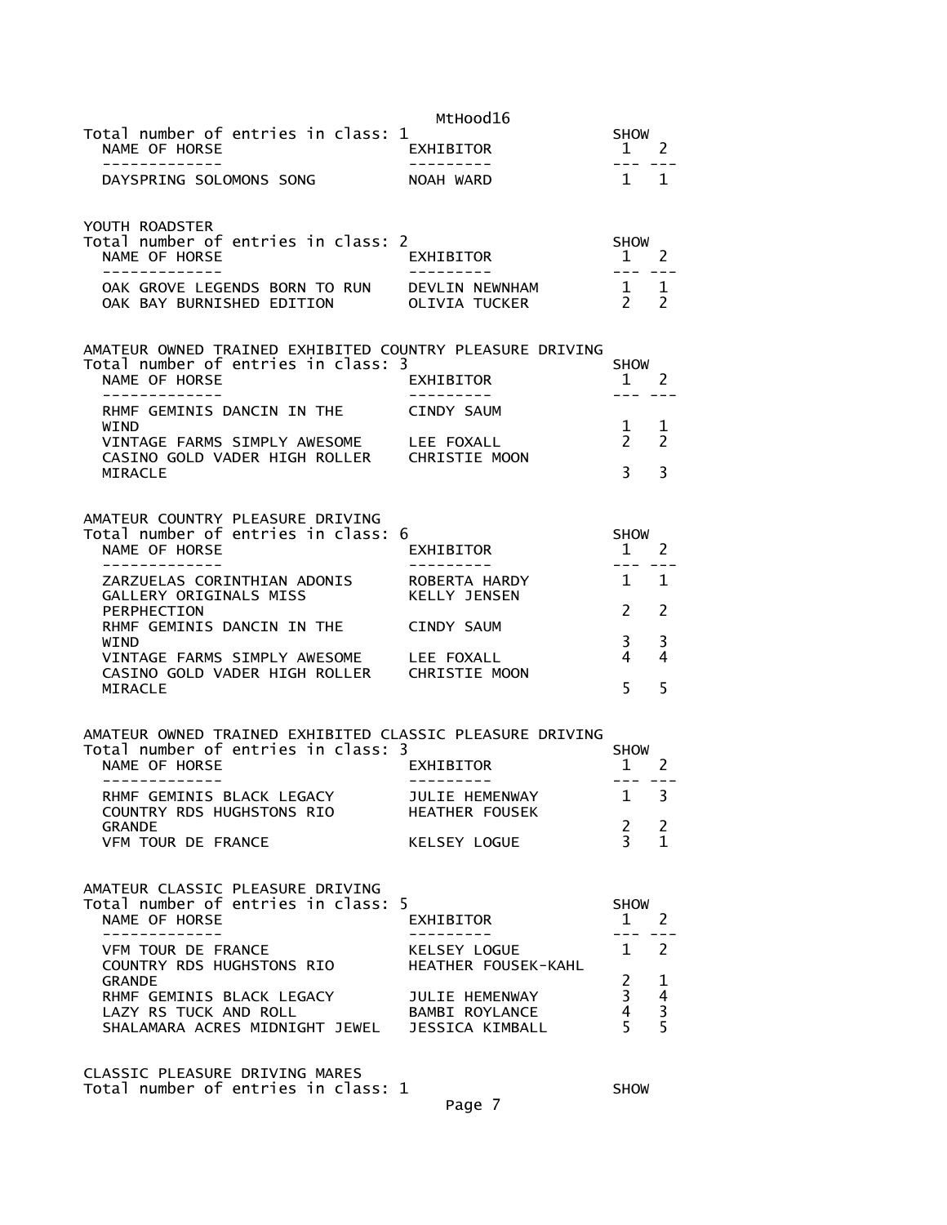| Total number of entries in class: 1                                                                                               | MtHood16                                | <b>SHOW</b>                       | -2                                                |
|-----------------------------------------------------------------------------------------------------------------------------------|-----------------------------------------|-----------------------------------|---------------------------------------------------|
| NAME OF HORSE<br>-------------                                                                                                    | EXHIBITOR<br>----------                 | 1<br>$- - -$                      | $= -$                                             |
| DAYSPRING SOLOMONS SONG                                                                                                           | NOAH WARD                               | 1 1                               |                                                   |
| YOUTH ROADSTER                                                                                                                    |                                         |                                   |                                                   |
| Total number of entries in class: 2<br>NAME OF HORSE                                                                              | EXHIBITOR                               | <b>SHOW</b><br>1                  | <sup>2</sup>                                      |
| -------------                                                                                                                     | ----------                              | $- - -$                           |                                                   |
| OAK GROVE LEGENDS BORN TO RUN DEVLIN NEWNHAM<br>OAK BAY BURNISHED EDITION                                                         | OLIVIA TUCKER                           | $\frac{1}{2}$ 1<br>$\overline{2}$ | $\overline{\phantom{0}}$                          |
| AMATEUR OWNED TRAINED EXHIBITED COUNTRY PLEASURE DRIVING                                                                          |                                         |                                   |                                                   |
| Total number of entries in class: 3<br>NAME OF HORSE                                                                              | EXHIBITOR                               | <b>SHOW</b><br>$\mathbf{1}$       | - 2                                               |
| -----------<br>RHMF GEMINIS DANCIN IN THE                                                                                         | CINDY SAUM                              | ---                               |                                                   |
| WIND<br>VINTAGE FARMS SIMPLY AWESOME LEE FOXALL                                                                                   |                                         | $\mathbf{1}$<br>$\mathbf{2}$      | 1<br>$\overline{2}$                               |
| CASINO GOLD VADER HIGH ROLLER CHRISTIE MOON                                                                                       |                                         |                                   |                                                   |
| MIRACLE                                                                                                                           |                                         | $\overline{3}$                    | 3                                                 |
| AMATEUR COUNTRY PLEASURE DRIVING                                                                                                  |                                         |                                   |                                                   |
| Total number of entries in class:<br>NAME OF HORSE                                                                                | 6<br>EXHIBITOR                          | <b>SHOW</b><br>$\mathbf{1}$       | 2                                                 |
|                                                                                                                                   |                                         | ---                               |                                                   |
| ZARZUELAS CORINTHIAN ADONIS<br>GALLERY ORIGINALS MISS                                                                             | ROBERTA HARDY<br><b>KELLY JENSEN</b>    | $\mathbf{1}$                      | 1                                                 |
| PERPHECTION<br>RHMF GEMINIS DANCIN IN THE                                                                                         | CINDY SAUM                              | $\mathcal{P}$                     | 2                                                 |
| WIND                                                                                                                              |                                         | 3                                 | 3                                                 |
| VINTAGE FARMS SIMPLY AWESOME LEE FOXALL<br>CASINO GOLD VADER HIGH ROLLER CHRISTIE MOON                                            |                                         | 4                                 | 4                                                 |
| <b>MIRACLE</b>                                                                                                                    |                                         | 5                                 | 5                                                 |
| AMATEUR OWNED TRAINED EXHIBITED CLASSIC PLEASURE DRIVING                                                                          |                                         |                                   |                                                   |
| Total number of entries in class: 3<br>NAME OF HORSE                                                                              | EXHIBITOR                               | <b>SHOW</b><br>$\mathbf{1}$       | 2                                                 |
| -----------                                                                                                                       |                                         | $---$                             |                                                   |
| RHMF GEMINIS BLACK LEGACY<br>COUNTRY RDS HUGHSTONS RIO                                                                            | JULIE HEMENWAY<br><b>HEATHER FOUSEK</b> | $\mathbf{1}$                      | 3                                                 |
| <b>GRANDE</b><br>VFM TOUR DE FRANCE                                                                                               | KELSEY LOGUE                            | $\mathbf{2}$<br>$\mathbf{R}$      | $\overline{2}$<br>$\mathbf{1}$                    |
|                                                                                                                                   |                                         |                                   |                                                   |
| AMATEUR CLASSIC PLEASURE DRIVING                                                                                                  |                                         |                                   |                                                   |
| Total number of entries in class: 5<br>NAME OF HORSE                                                                              | EXHIBITOR                               | <b>SHOW</b><br>$1 \quad 2$        |                                                   |
| --------------                                                                                                                    | . <u>.</u>                              | $- - -$                           |                                                   |
| VFM TOUR DE FRANCE<br>COUNTRY RDS HUGHSTONS RIO HEATHER FOUSEK-KAHL                                                               | KELSEY LOGUE                            | 1 2                               |                                                   |
| <b>GRANDE</b><br>RHMF GEMINIS BLACK LEGACY JULIE HEMENWAY                                                                         |                                         | $\frac{2}{3}$                     |                                                   |
| LAZY RS TUCK AND ROLL<br>LAZY RS TUCK AND ROLL                 BAMBI ROYLANCE<br>SHALAMARA ACRES MIDNIGHT JEWEL   JESSICA KIMBALL |                                         | $\overline{4}$                    | $\begin{array}{c}\n1 \\ 4 \\ 3 \\ 5\n\end{array}$ |
|                                                                                                                                   |                                         |                                   |                                                   |
| CLASSIC PLEASURE DRIVING MARES                                                                                                    |                                         |                                   |                                                   |

Total number of entries in class: 1 SHOW

Page 7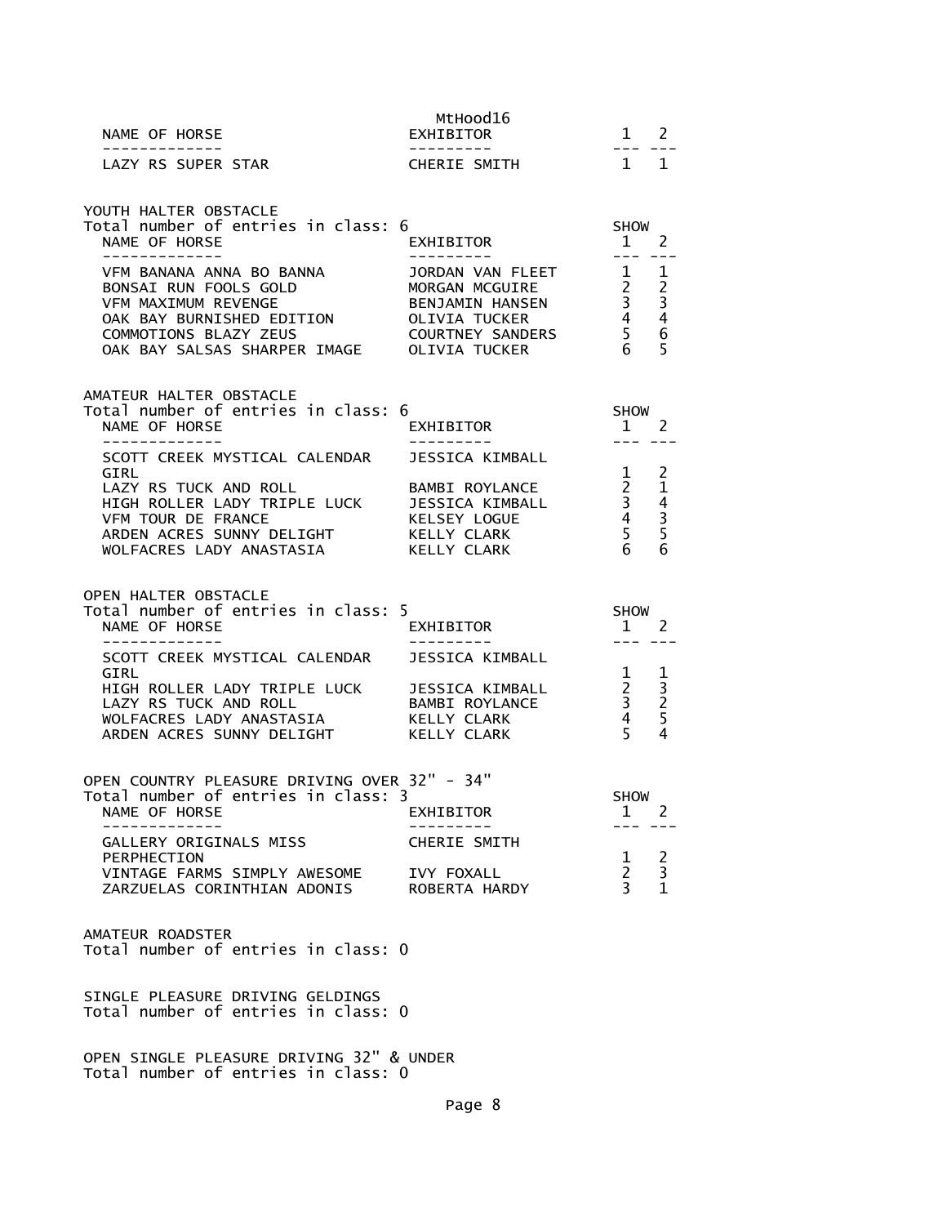| NAME OF HORSE<br>--------------                                                                                                                                                                                                                   | MtHood16<br>EXHIBITOR                                                                                                                                    | $1 \quad 2$                                                                                                                                                                                                                                                                                                                                                                                                                                                            |                                              |
|---------------------------------------------------------------------------------------------------------------------------------------------------------------------------------------------------------------------------------------------------|----------------------------------------------------------------------------------------------------------------------------------------------------------|------------------------------------------------------------------------------------------------------------------------------------------------------------------------------------------------------------------------------------------------------------------------------------------------------------------------------------------------------------------------------------------------------------------------------------------------------------------------|----------------------------------------------|
| LAZY RS SUPER STAR                                                                                                                                                                                                                                | <b>CHERIE SMITH</b>                                                                                                                                      | $1 \quad 1$                                                                                                                                                                                                                                                                                                                                                                                                                                                            |                                              |
| YOUTH HALTER OBSTACLE<br>Total number of entries in class: 6<br>NAME OF HORSE<br>--------------                                                                                                                                                   | EXHIBITOR<br>---------                                                                                                                                   | SHOW<br>$1 \quad 2$<br>$\frac{1}{2} \frac{1}{2} \frac{1}{2} \frac{1}{2} \frac{1}{2} \frac{1}{2} \frac{1}{2} \frac{1}{2} \frac{1}{2} \frac{1}{2} \frac{1}{2} \frac{1}{2} \frac{1}{2} \frac{1}{2} \frac{1}{2} \frac{1}{2} \frac{1}{2} \frac{1}{2} \frac{1}{2} \frac{1}{2} \frac{1}{2} \frac{1}{2} \frac{1}{2} \frac{1}{2} \frac{1}{2} \frac{1}{2} \frac{1}{2} \frac{1}{2} \frac{1}{2} \frac{1}{2} \frac{1}{2} \frac{$                                                    |                                              |
| VFM BANANA ANNA BO BANNA<br>BONSAI RUN FOOLS GOLD<br><b>VFM MAXIMUM REVENGE</b><br>OAK BAY BURNISHED EDITION OLIVIA TUCKER<br>COMMOTIONS BLAZY ZEUS COURTNEY SANDERS<br>OAK BAY SALSAS SHARPER IMAGE OLIVIA TUCKER                                | JORDAN VAN FLEET 1 1<br>MORGAN MORGUIRE<br>MORGAN MCGUIRE<br>BENJAMIN HANSEN 33<br>33<br>OLIVIA TUCKER 44<br>COURTNEY SANDERS 56<br>AGE OLIVIA TUCKER 65 |                                                                                                                                                                                                                                                                                                                                                                                                                                                                        |                                              |
| AMATEUR HALTER OBSTACLE<br>Total number of entries in class: 6<br>NAME OF HORSE                                                                                                                                                                   | EXHIBITOR                                                                                                                                                | <b>SHOW</b><br>1 2                                                                                                                                                                                                                                                                                                                                                                                                                                                     |                                              |
| -------------<br>SCOTT CREEK MYSTICAL CALENDAR JESSICA KIMBALL<br>GIRL<br>LAZY RS TUCK AND ROLL<br>ARDEN ACRES SUNNY DELIGHT KELLY CLARK<br>WOLFACRES LADY ANASTASIA KELLY CLARK                                                                  | <b>BAMBI ROYLANCE</b>                                                                                                                                    | $\frac{1}{2} \frac{1}{2} \frac{1}{2} \frac{1}{2} \frac{1}{2} \frac{1}{2} \frac{1}{2} \frac{1}{2} \frac{1}{2} \frac{1}{2} \frac{1}{2} \frac{1}{2} \frac{1}{2} \frac{1}{2} \frac{1}{2} \frac{1}{2} \frac{1}{2} \frac{1}{2} \frac{1}{2} \frac{1}{2} \frac{1}{2} \frac{1}{2} \frac{1}{2} \frac{1}{2} \frac{1}{2} \frac{1}{2} \frac{1}{2} \frac{1}{2} \frac{1}{2} \frac{1}{2} \frac{1}{2} \frac{$<br>$\mathbf{1}$<br>$\overline{2}$<br>3<br>$\overline{4}$<br>$\frac{5}{6}$ | 2<br>$\mathbf{1}$<br>$rac{4}{3}$ 5 6         |
| OPEN HALTER OBSTACLE<br>Total number of entries in class: 5<br>NAME OF HORSE<br>--------------                                                                                                                                                    | EXHIBITOR<br>__________                                                                                                                                  | SHOW<br>$1 \quad 2$<br>$\frac{1}{2}$                                                                                                                                                                                                                                                                                                                                                                                                                                   |                                              |
| SCOTT CREEK MYSTICAL CALENDAR JESSICA KIMBALL<br>GIRL<br>-----<br>HIGH ROLLER LADY TRIPLE LUCK     JESSICA KIMBALL<br>LAZY RS TUCK AND ROLL                   BAMBI ROYLANCE<br>WOLFACRES LADY ANASTASIA KELLY CLARK<br>ARDEN ACRES SUNNY DELIGHT | KELLY CLARK                                                                                                                                              | $\mathbf 1$<br>$\frac{2}{3}$<br>4<br>$\overline{5}$                                                                                                                                                                                                                                                                                                                                                                                                                    | 1<br>$\frac{3}{2}$<br>$\boldsymbol{\Lambda}$ |
| OPEN COUNTRY PLEASURE DRIVING OVER 32" - 34"<br>Total number of entries in class: 3<br>NAME OF HORSE<br>GALLERY ORIGINALS MISS                                                                                                                    | <b>EXHIBITOR</b><br>CHERIE SMITH                                                                                                                         | <b>SHOW</b><br>$\mathbf{1}$                                                                                                                                                                                                                                                                                                                                                                                                                                            | 2                                            |
| PERPHECTION<br>VINTAGE FARMS SIMPLY AWESOME IVY FOXALL<br>ZARZUELAS CORINTHIAN ADONIS ROBERTA HARDY                                                                                                                                               |                                                                                                                                                          | 1<br>$2^{\circ}$<br>$\overline{3}$                                                                                                                                                                                                                                                                                                                                                                                                                                     | $\frac{2}{3}$<br>$\mathbf{1}$                |
| AMATEUR ROADSTER<br>Total number of entries in class: 0                                                                                                                                                                                           |                                                                                                                                                          |                                                                                                                                                                                                                                                                                                                                                                                                                                                                        |                                              |
| SINGLE PLEASURE DRIVING GELDINGS<br>Total number of entries in class: 0                                                                                                                                                                           |                                                                                                                                                          |                                                                                                                                                                                                                                                                                                                                                                                                                                                                        |                                              |

OPEN SINGLE PLEASURE DRIVING 32" & UNDER Total number of entries in class: 0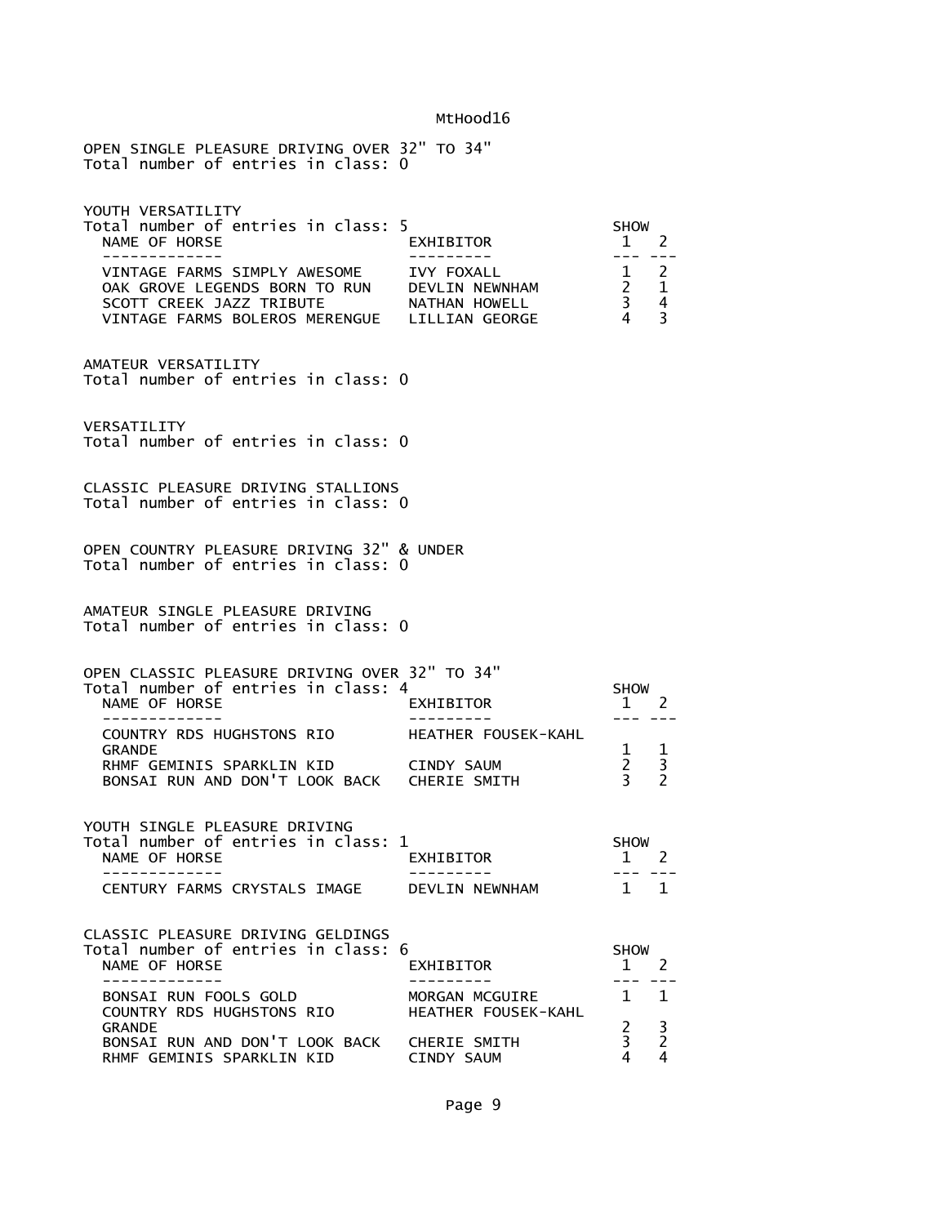| OPEN SINGLE PLEASURE DRIVING OVER 32" TO 34"<br>Total number of entries in class: 0                                                                                                 |                                       |                                                                                    |               |
|-------------------------------------------------------------------------------------------------------------------------------------------------------------------------------------|---------------------------------------|------------------------------------------------------------------------------------|---------------|
| YOUTH VERSATILITY<br>Total number of entries in class: 5<br>NAME OF HORSE<br>------------                                                                                           | EXHIBITOR                             | <b>SHOW</b><br>$\mathbf{1}$                                                        | <sup>2</sup>  |
| VINTAGE FARMS SIMPLY AWESOME IVY FOXALL<br>OAK GROVE LEGENDS BORN TO RUN DEVLIN NEWNHAM<br>SCOTT CREEK JAZZ TRIBUTE ANATHAN HOWELL<br>VINTAGE FARMS BOLEROS MERENGUE LILLIAN GEORGE |                                       | $1 \quad 2$<br>$\begin{array}{ccc}\n2 & 1 \\ 3 & 4\n\end{array}$<br>$\overline{4}$ | 3             |
| AMATEUR VERSATILITY<br>Total number of entries in class: 0                                                                                                                          |                                       |                                                                                    |               |
| VERSATILITY<br>Total number of entries in class: 0                                                                                                                                  |                                       |                                                                                    |               |
| CLASSIC PLEASURE DRIVING STALLIONS<br>Total number of entries in class: 0                                                                                                           |                                       |                                                                                    |               |
| OPEN COUNTRY PLEASURE DRIVING 32" & UNDER<br>Total number of entries in class: 0                                                                                                    |                                       |                                                                                    |               |
| AMATEUR SINGLE PLEASURE DRIVING<br>Total number of entries in class: 0                                                                                                              |                                       |                                                                                    |               |
| OPEN CLASSIC PLEASURE DRIVING OVER 32" TO 34"<br>Total number of entries in class: 4<br>NAME OF HORSE<br>- - - - - - - - - - -                                                      | EXHIBITOR                             | <b>SHOW</b><br>$1 \quad 2$<br>--- --                                               |               |
| COUNTRY RDS HUGHSTONS RIO<br><b>GRANDE</b>                                                                                                                                          | HEATHER FOUSEK-KAHL                   | $\mathbf{1}$                                                                       | $\mathbf{1}$  |
| RHMF GEMINIS SPARKLIN KID<br>BONSAI RUN AND DON'T LOOK BACK CHERIE SMITH                                                                                                            | <b>CINDY SAUM</b>                     | $\overline{2}$<br>$\overline{3}$                                                   | $\frac{3}{2}$ |
| YOUTH SINGLE PLEASURE DRIVING<br>Total number of entries in class: 1<br>NAME OF HORSE<br>-------------                                                                              | EXHIBITOR<br>- - - - - - - - - -      | <b>SHOW</b><br>$1 \quad 2$<br>$- - -$                                              | - - -         |
| CENTURY FARMS CRYSTALS IMAGE                                                                                                                                                        | DEVLIN NEWNHAM                        | $1 \quad 1$                                                                        |               |
| CLASSIC PLEASURE DRIVING GELDINGS<br>Total number of entries in class: 6<br>NAME OF HORSE                                                                                           | EXHIBITOR                             | <b>SHOW</b><br>$\mathbf{1}$                                                        | <sup>2</sup>  |
| ----------<br>BONSAI RUN FOOLS GOLD<br>COUNTRY RDS HUGHSTONS RIO                                                                                                                    | MORGAN MCGUIRE<br>HEATHER FOUSEK-KAHL | $- - -$<br>$\mathbf{1}$                                                            | $\mathbf{1}$  |
| <b>GRANDE</b><br>BONSAI RUN AND DON'T LOOK BACK CHERIE SMITH<br>RHMF GEMINIS SPARKLIN KID                                                                                           | CINDY SAUM                            | $\overline{2}$<br>3<br>4                                                           | $\frac{3}{2}$ |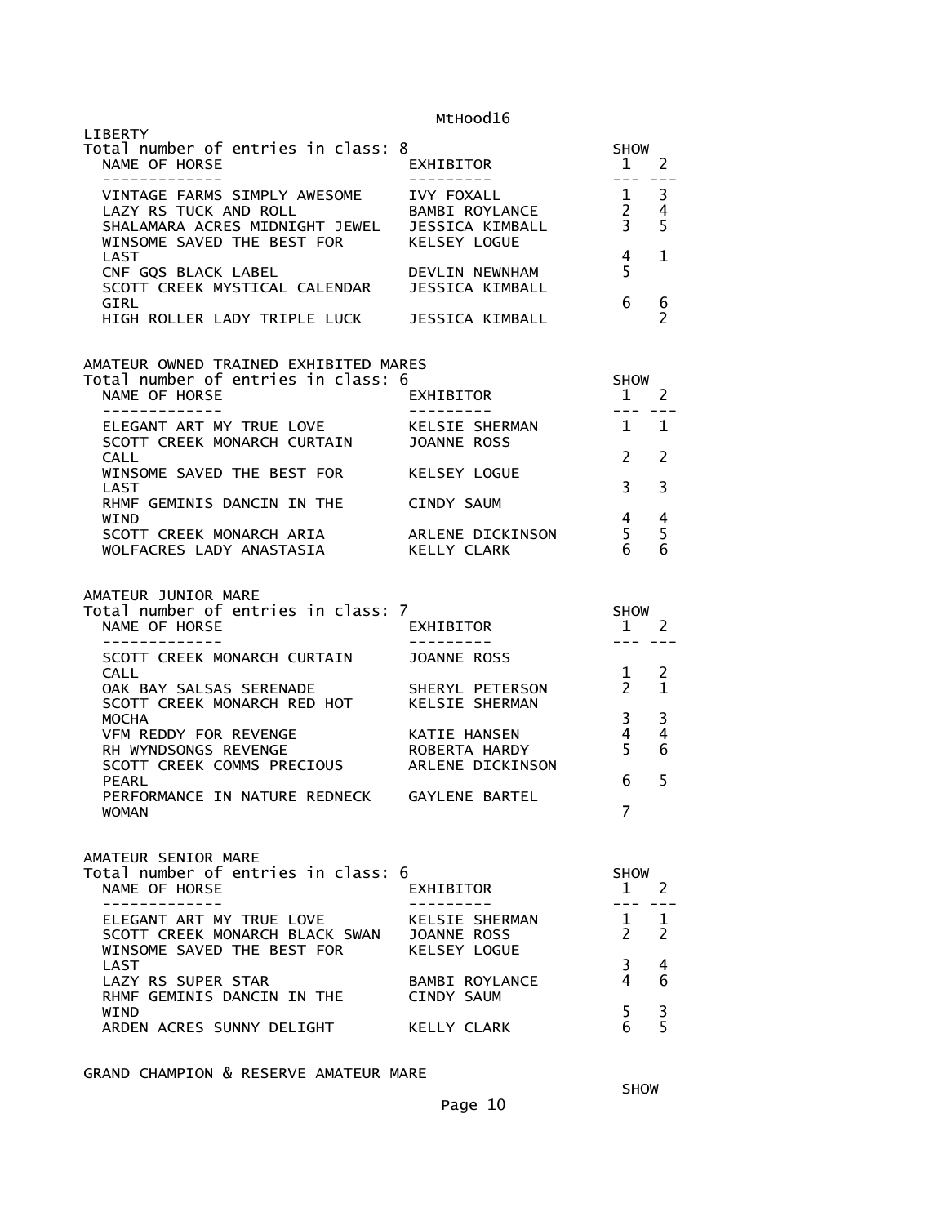| LIBERTY<br>Total number of entries in class: 8<br>NAME OF HORSE<br>_____________                                                                              | EXHIBITOR<br>----------                           | <b>SHOW</b><br>1<br>$- - -$                                 | 2                   |
|---------------------------------------------------------------------------------------------------------------------------------------------------------------|---------------------------------------------------|-------------------------------------------------------------|---------------------|
| VINTAGE FARMS SIMPLY AWESOME IVY FOXALL<br>LAZY RS TUCK AND ROLL<br>SHALAMARA ACRES MIDNIGHT JEWEL JESSICA KIMBALL<br>WINSOME SAVED THE BEST FOR KELSEY LOGUE | BAMBI ROYLANCE                                    | $\overline{1}$<br>$\overline{2}$<br>$\overline{\mathbf{3}}$ | 3<br>4<br>5         |
| LAST<br>CNF GQS BLACK LABEL             DEVLIN NEWNHAM<br>SCOTT CREEK MYSTICAL CALENDAR   JESSICA KIMBALL                                                     |                                                   | $\overline{4}$<br>5                                         | 1                   |
| GIRL<br>HIGH ROLLER LADY TRIPLE LUCK JESSICA KIMBALL                                                                                                          |                                                   | 6                                                           | 6<br>$\overline{2}$ |
| AMATEUR OWNED TRAINED EXHIBITED MARES<br>Total number of entries in class: 6                                                                                  |                                                   | <b>SHOW</b>                                                 |                     |
| NAME OF HORSE<br>-----------                                                                                                                                  | EXHIBITOR                                         | $\mathbf{1}$<br>$- - -$                                     | <sup>2</sup>        |
| ELEGANT ART MY TRUE LOVE<br>SCOTT CREEK MONARCH CURTAIN JOANNE ROSS                                                                                           | KELSIE SHERMAN                                    | $\sim$ 1                                                    | 1                   |
| CALL<br>WINSOME SAVED THE BEST FOR<br>LAST                                                                                                                    | KELSEY LOGUE                                      | $\mathcal{P}$<br>3                                          | $\overline{2}$<br>3 |
| RHMF GEMINIS DANCIN IN THE<br><b>WTND</b>                                                                                                                     | CINDY SAUM                                        | 4                                                           | 4                   |
| SCOTT CREEK MONARCH ARIA<br>WOLFACRES LADY ANASTASIA                                                                                                          | ARLENE DICKINSON<br>KELLY CLARK                   | 5<br>6                                                      | 5<br>6              |
| AMATEUR JUNIOR MARE<br>Total number of entries in class: 7<br>NAME OF HORSE                                                                                   | EXHIBITOR                                         | <b>SHOW</b><br>$\mathbf{1}$                                 | - 2                 |
| --------------<br>SCOTT CREEK MONARCH CURTAIN JOANNE ROSS                                                                                                     | ----------                                        | $- - -$                                                     |                     |
|                                                                                                                                                               |                                                   |                                                             | 2<br>$\mathbf 1$    |
| <b>CALL</b><br>OAK BAY SALSAS SERENADE                                                                                                                        | SHERYL PETERSON                                   | 1<br>$\mathbf{2}$                                           | 3                   |
| SCOTT CREEK MONARCH RED HOT KELSIE SHERMAN<br><b>MOCHA</b>                                                                                                    |                                                   | 3                                                           |                     |
| VFM REDDY FOR REVENGE<br>RH WYNDSONGS REVENGE<br>SCOTT CREEK COMMS PRECIOUS                                                                                   | KATIE HANSEN<br>ROBERTA HARDY<br>ARLENE DICKINSON | 4<br>5                                                      | 4<br>6              |
| <b>PEARL</b><br>PERFORMANCE IN NATURE REDNECK GAYLENE BARTEL<br><b>WOMAN</b>                                                                                  |                                                   | 6<br>$\overline{7}$                                         | 5                   |
|                                                                                                                                                               |                                                   |                                                             |                     |
| AMATEUR SENIOR MARE<br>Total number of entries in class: 6<br>NAME OF HORSE                                                                                   | EXHIBITOR                                         | SHOW<br>$\mathbf{1}$                                        | <sup>2</sup>        |
| . _ _ _ _ _ _ _ _ _ _ _ _<br>ELEGANT ART MY TRUE LOVE<br>SCOTT CREEK MONARCH BLACK SWAN JOANNE ROSS                                                           | KELSIE SHERMAN                                    | $\mathbf{1}$<br>$\mathbf{2}$                                | 1<br>2              |
| WINSOME SAVED THE BEST FOR<br>LAST<br>LAZY RS SUPER STAR<br>RHMF GEMINIS DANCIN IN THE                                                                        | KELSEY LOGUE<br>BAMBI ROYLANCE<br>CINDY SAUM      | $\mathbf{3}$<br>4                                           | 4<br>6              |

GRAND CHAMPION & RESERVE AMATEUR MARE

**SHOW SHOW**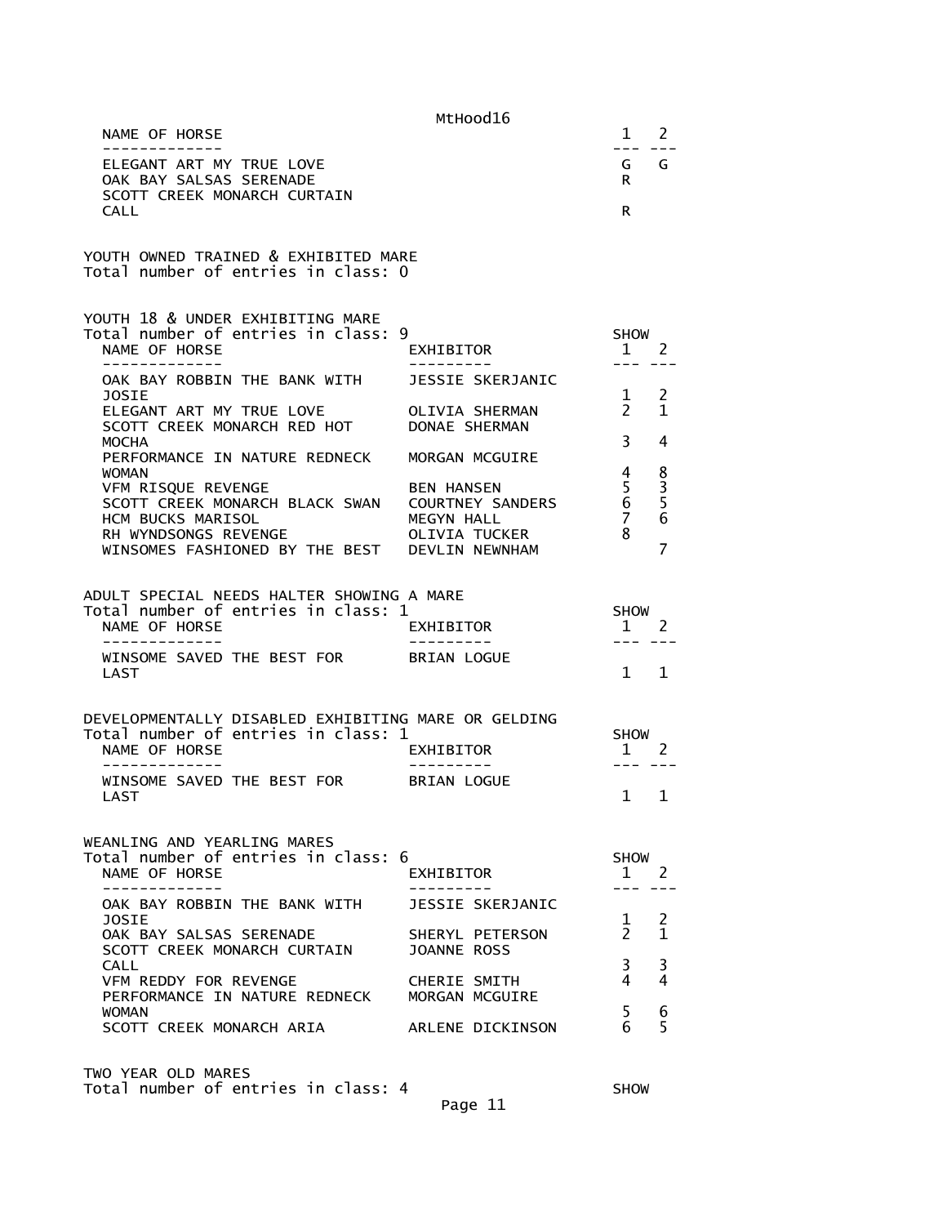|                                                                                                                     | MtHood16                                                        |                                   |                   |
|---------------------------------------------------------------------------------------------------------------------|-----------------------------------------------------------------|-----------------------------------|-------------------|
| NAME OF HORSE                                                                                                       |                                                                 | 1                                 | 2                 |
| -------------<br>ELEGANT ART MY TRUE LOVE<br>OAK BAY SALSAS SERENADE<br>SCOTT CREEK MONARCH CURTAIN<br><b>CALL</b>  |                                                                 | ---<br>G G<br>R.<br>R.            |                   |
| YOUTH OWNED TRAINED & EXHIBITED MARE<br>Total number of entries in class: 0                                         |                                                                 |                                   |                   |
| YOUTH 18 & UNDER EXHIBITING MARE<br>Total number of entries in class: 9<br>NAME OF HORSE                            | EXHIBITOR                                                       | <b>SHOW</b><br>1                  | $\overline{2}$    |
| OAK BAY ROBBIN THE BANK WITH                                                                                        | JESSIE SKERJANIC                                                |                                   |                   |
| JOSIE<br>ELEGANT ART MY TRUE LOVE<br>SCOTT CREEK MONARCH RED HOT DONAE SHERMAN                                      | OLIVIA SHERMAN                                                  | 1<br>$2^{\circ}$                  | 2<br>$\mathbf{1}$ |
| <b>MOCHA</b><br>PERFORMANCE IN NATURE REDNECK<br><b>WOMAN</b>                                                       | MORGAN MCGUIRE                                                  | 3<br>4                            | 4                 |
| VFM RISQUE REVENGE<br>SCOTT CREEK MONARCH BLACK SWAN  COURTNEY SANDERS<br>HCM BUCKS MARISOL<br>RH WYNDSONGS REVENGE | <b>BEN HANSEN</b><br>MEGYN HALL<br>OLIVTA TUCH<br>OLIVIA TUCKER | 5<br>6<br>$\overline{7}$<br>8     | 8<br>3<br>5<br>6  |
| WINSOMES FASHIONED BY THE BEST DEVLIN NEWNHAM                                                                       |                                                                 |                                   | $\overline{7}$    |
| ADULT SPECIAL NEEDS HALTER SHOWING A MARE<br>Total number of entries in class: 1<br>NAME OF HORSE                   | EXHIBITOR                                                       | <b>SHOW</b><br>1                  | $\overline{2}$    |
| -------------<br>WINSOME SAVED THE BEST FOR<br>LAST                                                                 | BRIAN LOGUE                                                     | $\mathbf{1}$                      | 1                 |
| DEVELOPMENTALLY DISABLED EXHIBITING MARE OR GELDING<br>Total number of entries in class: 1<br>NAME OF HORSE         | EXHIBITOR                                                       | <b>SHOW</b><br>$1 \quad 2$<br>--- |                   |
| WINSOME SAVED THE BEST FOR<br>LAST                                                                                  | BRIAN LOGUE                                                     | $\mathbf{1}$                      | $\mathbf{1}$      |
| WEANLING AND YEARLING MARES<br>Total number of entries in class: 6<br>NAME OF HORSE<br>------------                 | EXHIBITOR                                                       | <b>SHOW</b><br>$\mathbf{1}$       | -2                |
| OAK BAY ROBBIN THE BANK WITH                                                                                        | JESSIE SKERJANIC                                                |                                   |                   |
| <b>JOSIE</b><br>OAK BAY SALSAS SERENADE<br>SCOTT CREEK MONARCH CURTAIN                                              | SHERYL PETERSON<br>JOANNE ROSS                                  | $\mathbf 1$<br>$\mathcal{P}$      | 2<br>1            |
| <b>CALL</b><br>VFM REDDY FOR REVENGE<br>PERFORMANCE IN NATURE REDNECK                                               | CHERIE SMITH                                                    | 3<br>4                            | 3<br>4            |
| <b>WOMAN</b><br>SCOTT CREEK MONARCH ARIA                                                                            | MORGAN MCGUIRE<br>ARLENE DICKINSON                              | 5<br>6                            | 6<br>5            |
| TWO YEAR OLD MARES                                                                                                  |                                                                 |                                   |                   |

Total number of entries in class: 4 SHOW

Page 11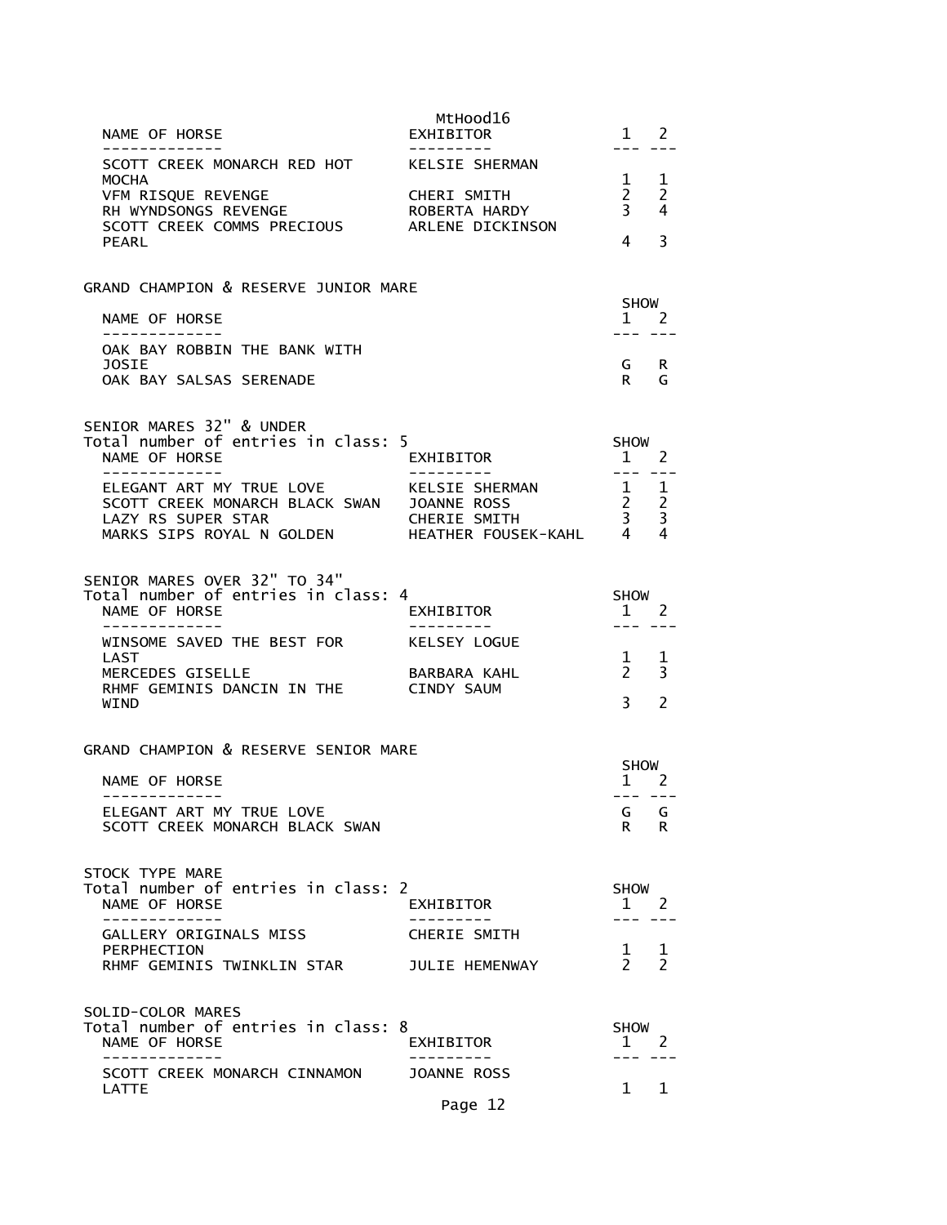| NAME OF HORSE<br>-------------                                                                                                                                                            | MtHood16<br>EXHIBITOR<br>---------- | 1 2<br>--- ---                                                           |
|-------------------------------------------------------------------------------------------------------------------------------------------------------------------------------------------|-------------------------------------|--------------------------------------------------------------------------|
| SCOTT CREEK MONARCH RED HOT KELSIE SHERMAN                                                                                                                                                |                                     |                                                                          |
| MOCHA                                                                                                                                                                                     |                                     | $1 \quad 1$<br>$\begin{array}{ccc} 2 & 2 \\ 3 & 4 \end{array}$           |
| VFM RISQUE REVENGE<br>RH WYNDSONGS REVENGE<br>SCOTT CREEK COMMS PRECIOUS ARLENE DICKINSON                                                                                                 |                                     |                                                                          |
| PEARL                                                                                                                                                                                     |                                     | 4<br>3                                                                   |
| GRAND CHAMPION & RESERVE JUNIOR MARE                                                                                                                                                      |                                     |                                                                          |
| NAME OF HORSE                                                                                                                                                                             |                                     | SHOW<br>$1 \quad 2$                                                      |
| -------------<br>OAK BAY ROBBIN THE BANK WITH                                                                                                                                             |                                     | --- ---                                                                  |
| JOSIE<br>OAK BAY SALSAS SERENADE                                                                                                                                                          |                                     | G R<br>G<br>$\mathbf R$                                                  |
|                                                                                                                                                                                           |                                     |                                                                          |
| SENIOR MARES 32" & UNDER<br>Total number of entries in class: 5                                                                                                                           |                                     |                                                                          |
| NAME OF HORSE                                                                                                                                                                             | EXHIBITOR                           | SHOW<br>$1 \quad 2$                                                      |
|                                                                                                                                                                                           |                                     | $\frac{1}{2}$                                                            |
| ELEGANT ART MY TRUE LOVE ARELSIE SHERMAN 1 1<br>SCOTT CREEK MONARCH BLACK SWAN JOANNE ROSS 2 2<br>LAZY RS SUPER STAR CHERIE SMITH 3 3<br>MARKS SIPS ROYAL NGOLDEN HEATHER FOUSEK-KAHL 4 4 |                                     |                                                                          |
|                                                                                                                                                                                           |                                     |                                                                          |
| SENIOR MARES OVER 32" TO 34"                                                                                                                                                              |                                     |                                                                          |
| Total number of entries in class: 4<br>NAME OF HORSE                                                                                                                                      | EXHIBITOR                           | <b>SHOW</b><br>$\frac{1}{2}$ 2                                           |
| -------------<br>WINSOME SAVED THE BEST FOR KELSEY LOGUE                                                                                                                                  | ----------                          | $\begin{array}{cccccc} - & - & - & - & - \\ & - & - & - & - \end{array}$ |
| LAST<br>MERCEDES GISELLE                                                                                                                                                                  | BARBARA KAHL                        | $\begin{array}{cc} 1 & 1 \\ 2 & 3 \end{array}$                           |
| RHMF GEMINIS DANCIN IN THE CINDY SAUM<br>WIND                                                                                                                                             |                                     | $3^{\circ}$<br>$\overline{\phantom{a}}$                                  |
|                                                                                                                                                                                           |                                     |                                                                          |
| GRAND CHAMPION & RESERVE SENIOR MARE                                                                                                                                                      |                                     | SHOW                                                                     |
| NAME OF HORSE<br>-------------                                                                                                                                                            |                                     | $1 \quad 2$<br>--- ---                                                   |
| ELEGANT ART MY TRUE LOVE                                                                                                                                                                  |                                     | G<br>G                                                                   |
| SCOTT CREEK MONARCH BLACK SWAN                                                                                                                                                            |                                     | R.<br>R                                                                  |
| STOCK TYPE MARE                                                                                                                                                                           |                                     |                                                                          |
| Total number of entries in class: 2<br>NAME OF HORSE                                                                                                                                      | EXHIBITOR                           | <b>SHOW</b><br>2<br>$\mathbf{1}$                                         |
| GALLERY ORIGINALS MISS                                                                                                                                                                    | <b>CHERIE SMITH</b>                 |                                                                          |
| PERPHECTION<br>RHMF GEMINIS TWINKLIN STAR                                                                                                                                                 | JULIE HEMENWAY                      | $\frac{1}{2}$<br><sup>1</sup><br>$\overline{2}$                          |
|                                                                                                                                                                                           |                                     |                                                                          |
| SOLID-COLOR MARES<br>Total number of entries in class: 8                                                                                                                                  |                                     | <b>SHOW</b>                                                              |
| NAME OF HORSE                                                                                                                                                                             | EXHIBITOR                           | 1 2                                                                      |
| SCOTT CREEK MONARCH CINNAMON                                                                                                                                                              | <b>JOANNE ROSS</b>                  | 1<br>1                                                                   |
| LATTE                                                                                                                                                                                     | Page 12                             |                                                                          |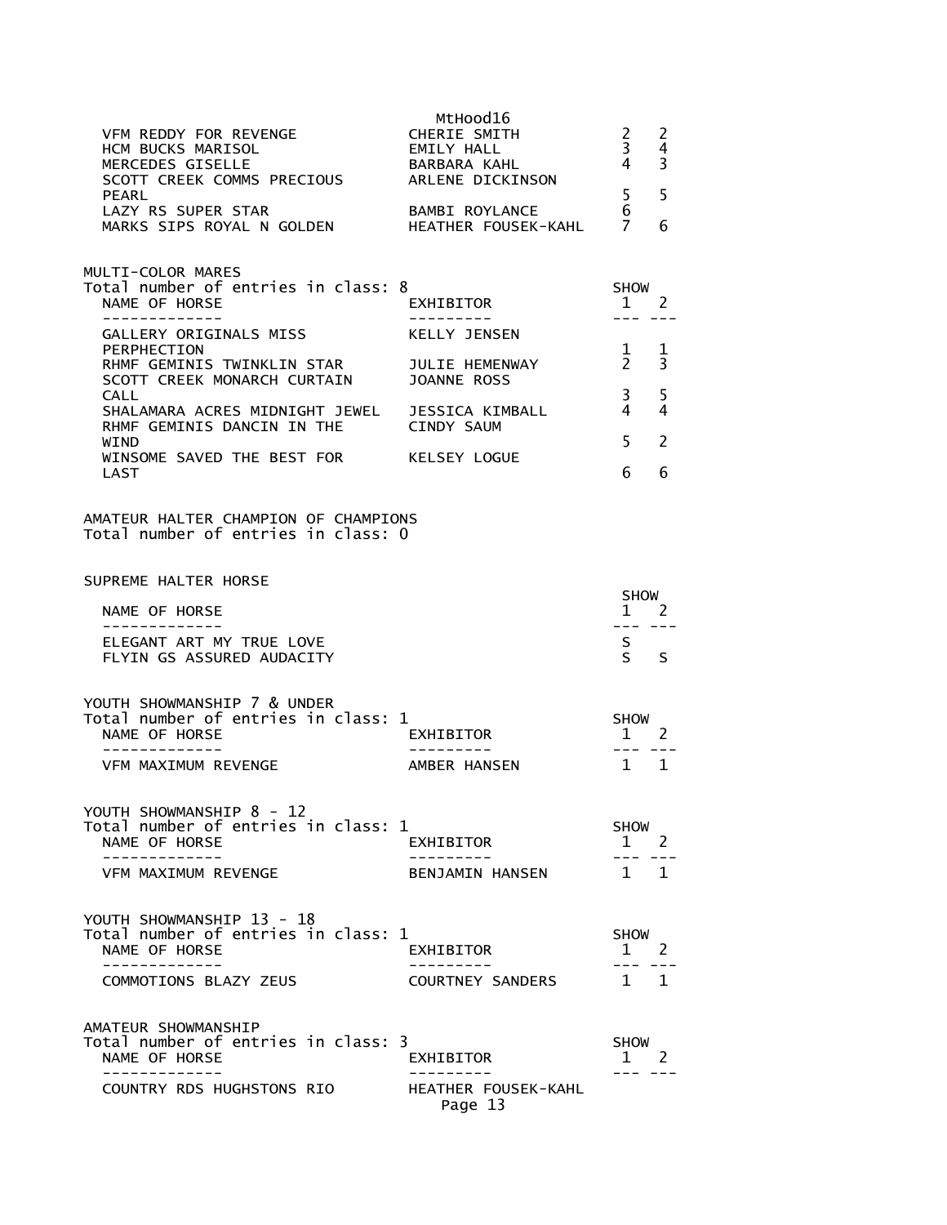| VFM REDDY FOR REVENGE<br>HCM BUCKS MARISOL<br>MERCEDES GISELLE<br>SCOTT CREEK COMMS PRECIOUS<br>PEARL        | MtHood16<br>CHERIE SMITH<br>EMILY HALL<br>BARBARA KAHL<br>ARLENE DICKINSON | $\mathbf{2}$<br>3 <sup>7</sup><br>4 <sup>1</sup><br>$5 -$ | 2<br>4<br>3<br>5 |
|--------------------------------------------------------------------------------------------------------------|----------------------------------------------------------------------------|-----------------------------------------------------------|------------------|
| LAZY RS SUPER STAR<br>MARKS SIPS ROYAL N GOLDEN HEATHER FOUSEK-KAHL                                          | <b>BAMBI ROYLANCE</b>                                                      | 6<br>7                                                    | 6                |
| MULTI-COLOR MARES<br>Total number of entries in class: 8<br>NAME OF HORSE                                    | EXHIBITOR                                                                  | SHOW<br>1                                                 | <sup>2</sup>     |
| -------------<br>GALLERY ORIGINALS MISS                                                                      | ----------<br>KELLY JENSEN                                                 | $---$                                                     |                  |
| PERPHECTION<br>RHMF GEMINIS TWINKLIN STAR JULIE HEMENWAY<br>SCOTT CREEK MONARCH CURTAIN JOANNE ROSS          |                                                                            | $\mathbf{1}$<br>$\overline{2}$                            | -1<br>3          |
| <b>CALL</b><br>SHALAMARA ACRES MIDNIGHT JEWEL JESSICA KIMBALL<br>RHMF GEMINIS DANCIN IN THE                  | CINDY SAUM                                                                 | 3 <sup>7</sup><br>$\overline{4}$                          | 5<br>4           |
| <b>WTND</b><br>WINSOME SAVED THE BEST FOR KELSEY LOGUE                                                       |                                                                            | $-5$                                                      | 2                |
| <b>LAST</b>                                                                                                  |                                                                            | 6                                                         | 6                |
| AMATEUR HALTER CHAMPION OF CHAMPIONS<br>Total number of entries in class: 0                                  |                                                                            |                                                           |                  |
| SUPREME HALTER HORSE                                                                                         |                                                                            | SHOW                                                      |                  |
| NAME OF HORSE<br>-------------                                                                               |                                                                            | $1 \quad 2$<br>--- --                                     |                  |
| ELEGANT ART MY TRUE LOVE<br>FLYIN GS ASSURED AUDACITY                                                        |                                                                            | S.<br>$S^{\sim}$                                          | S                |
| YOUTH SHOWMANSHIP 7 & UNDER<br>Total number of entries in class: 1<br>NAME OF HORSE<br>- - - - - - - - - - - | EXHIBITOR                                                                  | SHOW<br>1 2<br>$- - -$                                    |                  |
| VFM MAXIMUM REVENGE                                                                                          | AMBER HANSEN                                                               | $1 \quad 1$                                               |                  |
| YOUTH SHOWMANSHIP 8 - 12<br>Total number of entries in class: 1<br>NAME OF HORSE<br>___________              | EXHIBITOR                                                                  | SHOW<br>$\mathbf{1}$                                      | 2                |
| VFM MAXIMUM REVENGE                                                                                          | BENJAMIN HANSEN                                                            | $1 \quad 1$                                               |                  |
| YOUTH SHOWMANSHIP 13 - 18<br>Total number of entries in class: 1<br>NAME OF HORSE                            | EXHIBITOR                                                                  | SHOW<br>$1 \quad 2$                                       |                  |
| COMMOTIONS BLAZY ZEUS                                                                                        | <b>COURTNEY SANDERS</b>                                                    | 1 1                                                       |                  |
| AMATEUR SHOWMANSHIP<br>Total number of entries in class: 3<br>NAME OF HORSE<br>- - - - - - - - - - -         | EXHIBITOR                                                                  | SHOW<br>$1 \quad 2$                                       |                  |
| COUNTRY RDS HUGHSTONS RIO                                                                                    | HEATHER FOUSEK-KAHL<br>Page 13                                             |                                                           |                  |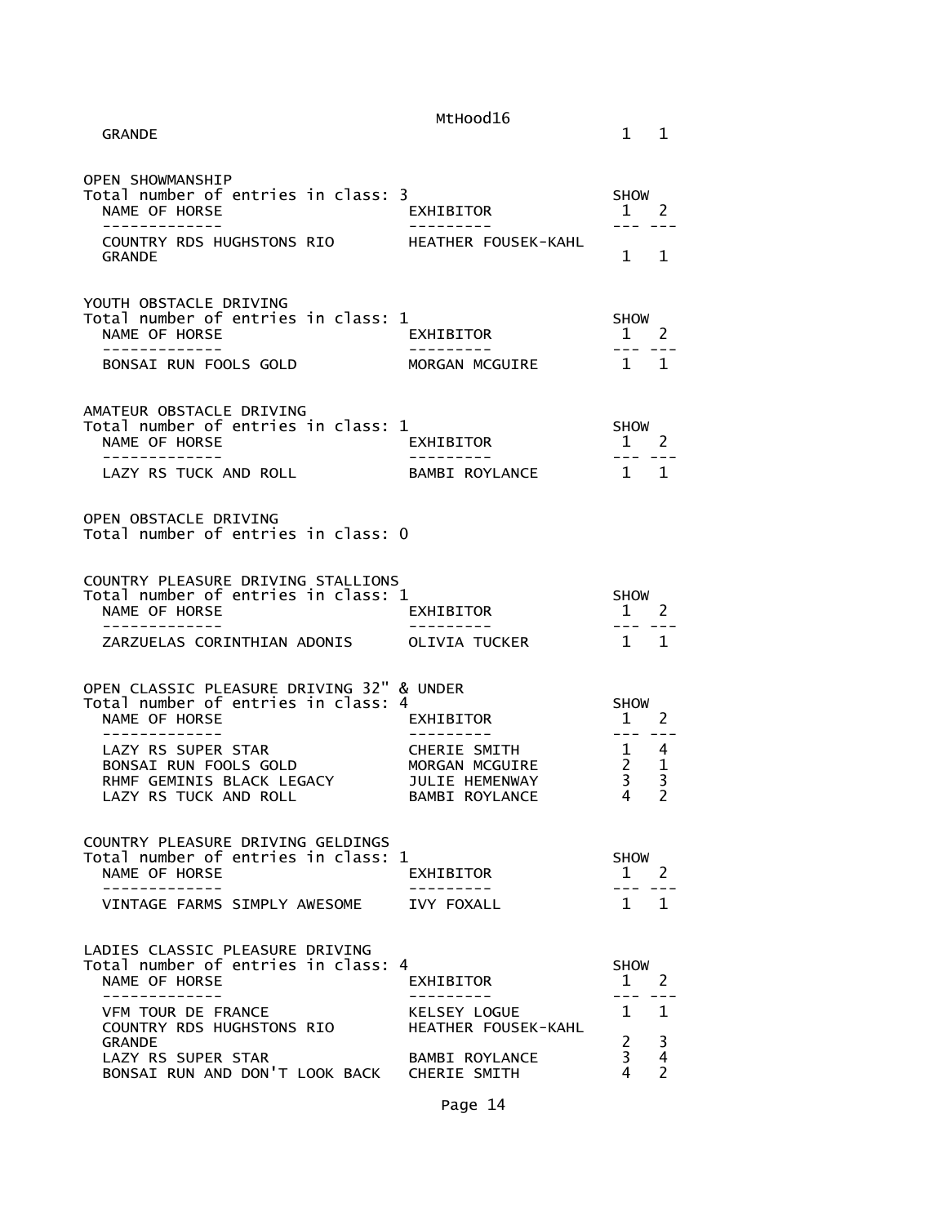| <b>GRANDE</b>                                                                                                                                              | MtHood16                                                                  | $1 \quad 1$                                                                                                                                                                                                                                                                                                                                                                                                         |                                    |
|------------------------------------------------------------------------------------------------------------------------------------------------------------|---------------------------------------------------------------------------|---------------------------------------------------------------------------------------------------------------------------------------------------------------------------------------------------------------------------------------------------------------------------------------------------------------------------------------------------------------------------------------------------------------------|------------------------------------|
| <b>OPEN SHOWMANSHIP</b><br>Total number of entries in class: 3<br>NAME OF HORSE<br>.                                                                       | EXHIBITOR                                                                 | <b>SHOW</b><br>1 2<br>----                                                                                                                                                                                                                                                                                                                                                                                          |                                    |
| COUNTRY RDS HUGHSTONS RIO THEATHER FOUSEK-KAHL<br><b>GRANDE</b>                                                                                            |                                                                           | $1 \quad 1$                                                                                                                                                                                                                                                                                                                                                                                                         |                                    |
| YOUTH OBSTACLE DRIVING<br>Total number of entries in class: 1<br>NAME OF HORSE<br>-------------                                                            | EXHIBITOR<br>----------                                                   | SHOW<br>$1 \quad 2$<br>$-- -$                                                                                                                                                                                                                                                                                                                                                                                       |                                    |
| BONSAI RUN FOOLS GOLD                                                                                                                                      | MORGAN MCGUIRE                                                            | $1 \quad 1$                                                                                                                                                                                                                                                                                                                                                                                                         |                                    |
| AMATEUR OBSTACLE DRIVING<br>Total number of entries in class: 1<br>NAME OF HORSE<br>-------------                                                          | EXHIBITOR                                                                 | <b>SHOW</b><br>$1 \t 2$                                                                                                                                                                                                                                                                                                                                                                                             |                                    |
| LAZY RS TUCK AND ROLL                                                                                                                                      | BAMBI ROYLANCE                                                            | $1 \quad 1$                                                                                                                                                                                                                                                                                                                                                                                                         |                                    |
| OPEN OBSTACLE DRIVING<br>Total number of entries in class: 0<br>COUNTRY PLEASURE DRIVING STALLIONS<br>Total number of entries in class: 1<br>NAME OF HORSE | EXHIBITOR                                                                 | SHOW<br>$1 \quad 2$<br>$\frac{1}{2} \frac{1}{2} \frac{1}{2} \frac{1}{2} \frac{1}{2} \frac{1}{2} \frac{1}{2} \frac{1}{2} \frac{1}{2} \frac{1}{2} \frac{1}{2} \frac{1}{2} \frac{1}{2} \frac{1}{2} \frac{1}{2} \frac{1}{2} \frac{1}{2} \frac{1}{2} \frac{1}{2} \frac{1}{2} \frac{1}{2} \frac{1}{2} \frac{1}{2} \frac{1}{2} \frac{1}{2} \frac{1}{2} \frac{1}{2} \frac{1}{2} \frac{1}{2} \frac{1}{2} \frac{1}{2} \frac{$ |                                    |
| ZARZUELAS CORINTHIAN ADONIS OLIVIA TUCKER                                                                                                                  |                                                                           | $1 \quad 1$                                                                                                                                                                                                                                                                                                                                                                                                         |                                    |
| OPEN CLASSIC PLEASURE DRIVING 32" & UNDER<br>Total number of entries in class: 4<br>NAME OF HORSE<br>-------------                                         | EXHIBITOR                                                                 | <b>SHOW</b><br>$1 \t 2$<br>$---$                                                                                                                                                                                                                                                                                                                                                                                    |                                    |
| LAZY RS SUPER STAR<br>BONSAI RUN FOOLS GOLD<br>RHMF GEMINIS BLACK LEGACY<br>LAZY RS TUCK AND ROLL                                                          | CHERIE SMITH<br>MORGAN MCGUIRE<br>JULIE HEMENWAY<br><b>BAMBI ROYLANCE</b> | $1 \quad 4$<br>$\begin{array}{ccc} 2 & 1 \\ 3 & 3 \\ 4 & 2 \end{array}$                                                                                                                                                                                                                                                                                                                                             |                                    |
| COUNTRY PLEASURE DRIVING GELDINGS<br>Total number of entries in class: 1<br>NAME OF HORSE                                                                  | EXHIBITOR                                                                 | <b>SHOW</b><br>$1 \quad$                                                                                                                                                                                                                                                                                                                                                                                            | 2                                  |
| VINTAGE FARMS SIMPLY AWESOME                                                                                                                               | <b>IVY FOXALL</b>                                                         | $1 \quad 1$                                                                                                                                                                                                                                                                                                                                                                                                         |                                    |
| LADIES CLASSIC PLEASURE DRIVING<br>Total number of entries in class: 4<br>NAME OF HORSE<br>- - - - - - - - - - -                                           | EXHIBITOR                                                                 | <b>SHOW</b><br>1                                                                                                                                                                                                                                                                                                                                                                                                    | 2                                  |
| VFM TOUR DE FRANCE<br>COUNTRY RDS HUGHSTONS RIO                                                                                                            | KELSEY LOGUE<br>HEATHER FOUSEK-KAHL                                       | $1 \quad 1$                                                                                                                                                                                                                                                                                                                                                                                                         |                                    |
| <b>GRANDE</b><br>LAZY RS SUPER STAR<br>BONSAI RUN AND DON'T LOOK BACK CHERIE SMITH                                                                         | BAMBI ROYLANCE                                                            | $\overline{2}$<br>3                                                                                                                                                                                                                                                                                                                                                                                                 | 3<br>4<br>$\overline{\phantom{a}}$ |